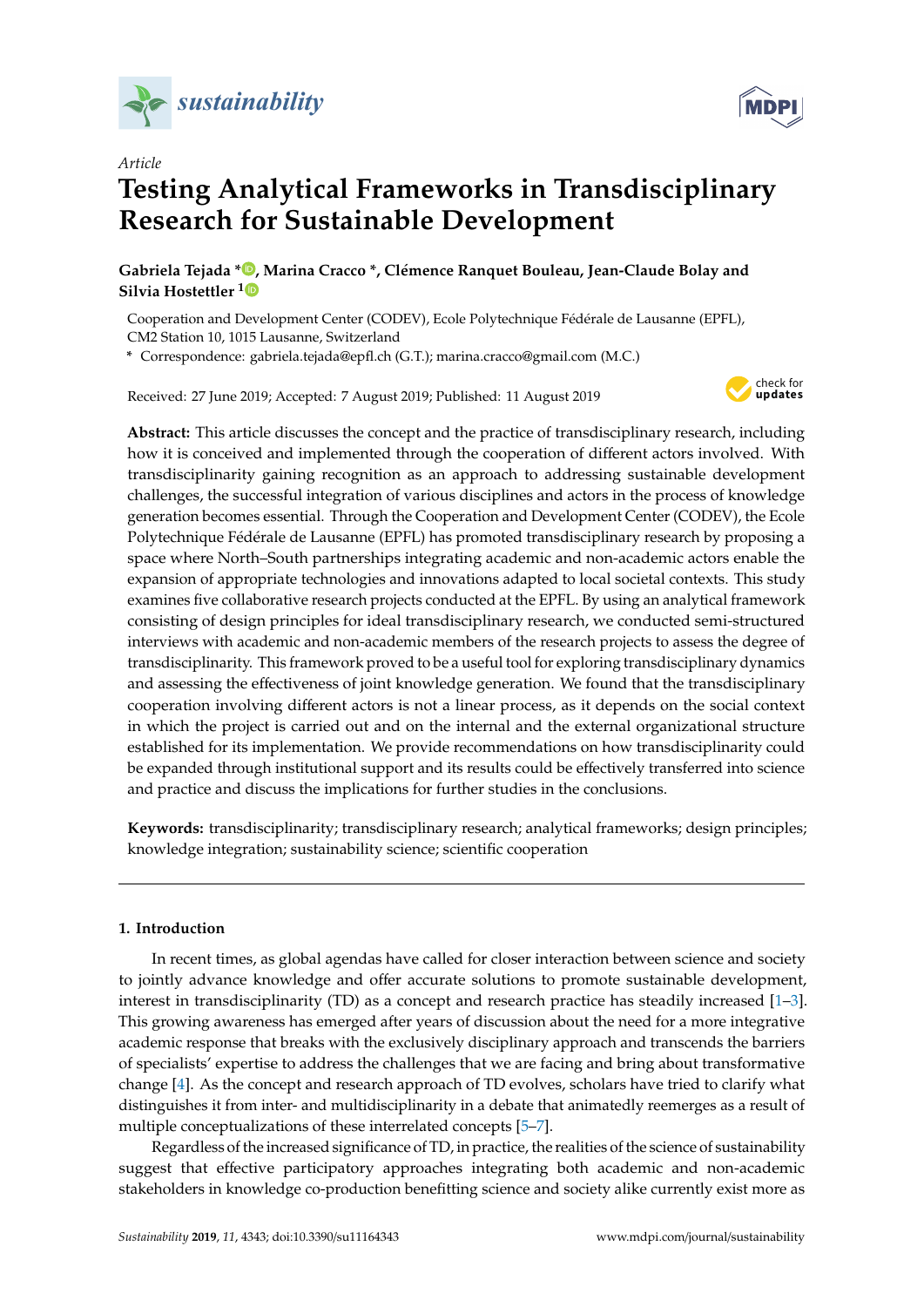

*Article*

# **Testing Analytical Frameworks in Transdisciplinary Research for Sustainable Development**

**Gabriela Tejada \* [,](https://orcid.org/0000-0002-8948-005X) Marina Cracco \*, Clémence Ranquet Bouleau, Jean-Claude Bolay and Silvia Hostettler [1](https://orcid.org/0000-0002-5167-7711)**

Cooperation and Development Center (CODEV), Ecole Polytechnique Fédérale de Lausanne (EPFL), CM2 Station 10, 1015 Lausanne, Switzerland

**\*** Correspondence: gabriela.tejada@epfl.ch (G.T.); marina.cracco@gmail.com (M.C.)

Received: 27 June 2019; Accepted: 7 August 2019; Published: 11 August 2019



**Abstract:** This article discusses the concept and the practice of transdisciplinary research, including how it is conceived and implemented through the cooperation of different actors involved. With transdisciplinarity gaining recognition as an approach to addressing sustainable development challenges, the successful integration of various disciplines and actors in the process of knowledge generation becomes essential. Through the Cooperation and Development Center (CODEV), the Ecole Polytechnique Fédérale de Lausanne (EPFL) has promoted transdisciplinary research by proposing a space where North–South partnerships integrating academic and non-academic actors enable the expansion of appropriate technologies and innovations adapted to local societal contexts. This study examines five collaborative research projects conducted at the EPFL. By using an analytical framework consisting of design principles for ideal transdisciplinary research, we conducted semi-structured interviews with academic and non-academic members of the research projects to assess the degree of transdisciplinarity. This framework proved to be a useful tool for exploring transdisciplinary dynamics and assessing the effectiveness of joint knowledge generation. We found that the transdisciplinary cooperation involving different actors is not a linear process, as it depends on the social context in which the project is carried out and on the internal and the external organizational structure established for its implementation. We provide recommendations on how transdisciplinarity could be expanded through institutional support and its results could be effectively transferred into science and practice and discuss the implications for further studies in the conclusions.

**Keywords:** transdisciplinarity; transdisciplinary research; analytical frameworks; design principles; knowledge integration; sustainability science; scientific cooperation

# **1. Introduction**

In recent times, as global agendas have called for closer interaction between science and society to jointly advance knowledge and offer accurate solutions to promote sustainable development, interest in transdisciplinarity (TD) as a concept and research practice has steadily increased [\[1](#page-23-0)[–3\]](#page-24-0). This growing awareness has emerged after years of discussion about the need for a more integrative academic response that breaks with the exclusively disciplinary approach and transcends the barriers of specialists' expertise to address the challenges that we are facing and bring about transformative change [\[4\]](#page-24-1). As the concept and research approach of TD evolves, scholars have tried to clarify what distinguishes it from inter- and multidisciplinarity in a debate that animatedly reemerges as a result of multiple conceptualizations of these interrelated concepts [\[5–](#page-24-2)[7\]](#page-24-3).

Regardless of the increased significance of TD, in practice, the realities of the science of sustainability suggest that effective participatory approaches integrating both academic and non-academic stakeholders in knowledge co-production benefitting science and society alike currently exist more as

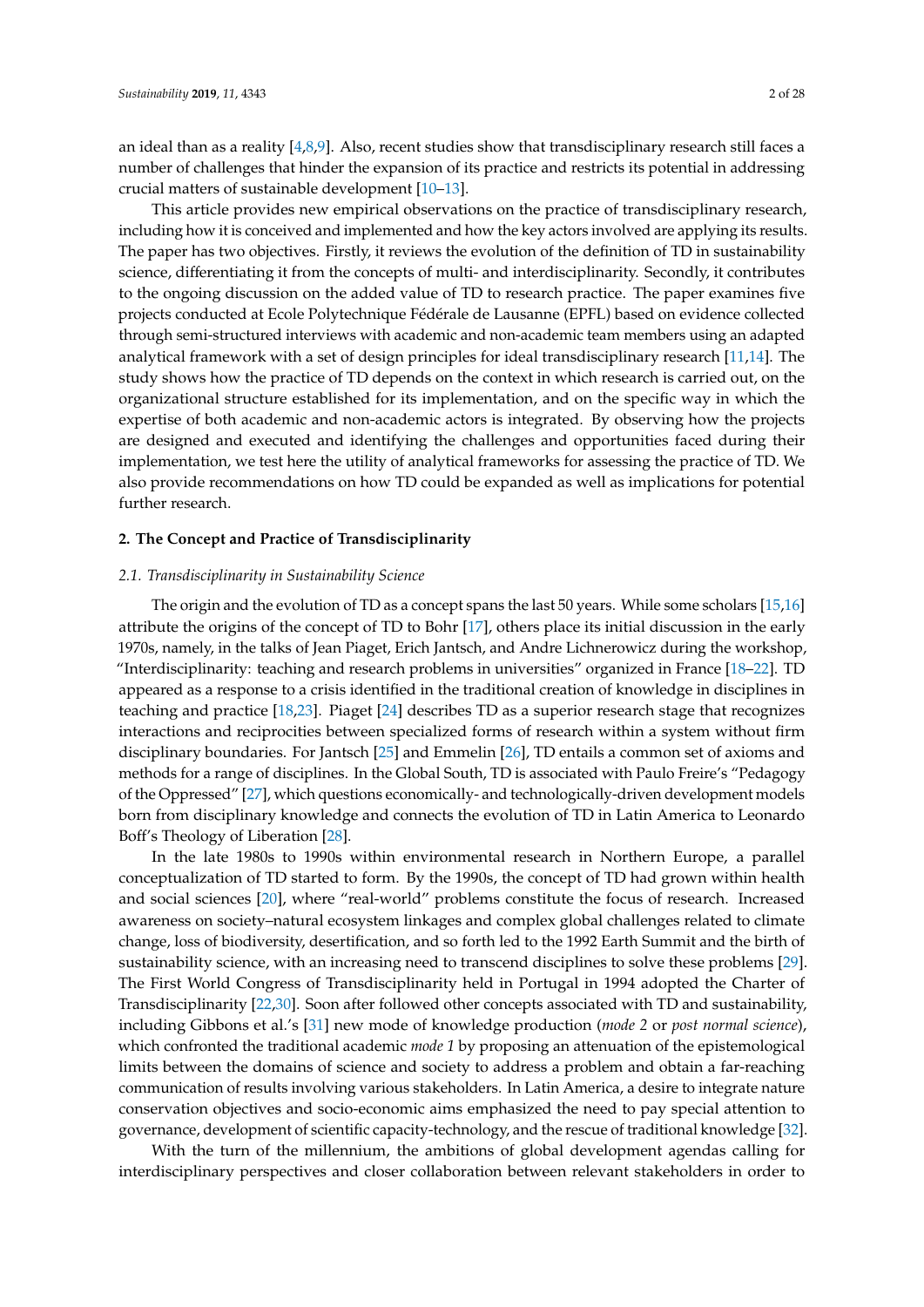an ideal than as a reality [\[4,](#page-24-1)[8,](#page-24-4)[9\]](#page-24-5). Also, recent studies show that transdisciplinary research still faces a number of challenges that hinder the expansion of its practice and restricts its potential in addressing crucial matters of sustainable development [\[10](#page-24-6)[–13\]](#page-24-7).

This article provides new empirical observations on the practice of transdisciplinary research, including how it is conceived and implemented and how the key actors involved are applying its results. The paper has two objectives. Firstly, it reviews the evolution of the definition of TD in sustainability science, differentiating it from the concepts of multi- and interdisciplinarity. Secondly, it contributes to the ongoing discussion on the added value of TD to research practice. The paper examines five projects conducted at Ecole Polytechnique Fédérale de Lausanne (EPFL) based on evidence collected through semi-structured interviews with academic and non-academic team members using an adapted analytical framework with a set of design principles for ideal transdisciplinary research [\[11,](#page-24-8)[14\]](#page-24-9). The study shows how the practice of TD depends on the context in which research is carried out, on the organizational structure established for its implementation, and on the specific way in which the expertise of both academic and non-academic actors is integrated. By observing how the projects are designed and executed and identifying the challenges and opportunities faced during their implementation, we test here the utility of analytical frameworks for assessing the practice of TD. We also provide recommendations on how TD could be expanded as well as implications for potential further research.

# **2. The Concept and Practice of Transdisciplinarity**

## *2.1. Transdisciplinarity in Sustainability Science*

The origin and the evolution of TD as a concept spans the last 50 years. While some scholars [\[15,](#page-24-10)[16\]](#page-24-11) attribute the origins of the concept of TD to Bohr [\[17\]](#page-24-12), others place its initial discussion in the early 1970s, namely, in the talks of Jean Piaget, Erich Jantsch, and Andre Lichnerowicz during the workshop, "Interdisciplinarity: teaching and research problems in universities" organized in France [\[18–](#page-24-13)[22\]](#page-24-14). TD appeared as a response to a crisis identified in the traditional creation of knowledge in disciplines in teaching and practice [\[18,](#page-24-13)[23\]](#page-24-15). Piaget [\[24\]](#page-24-16) describes TD as a superior research stage that recognizes interactions and reciprocities between specialized forms of research within a system without firm disciplinary boundaries. For Jantsch [\[25\]](#page-24-17) and Emmelin [\[26\]](#page-25-0), TD entails a common set of axioms and methods for a range of disciplines. In the Global South, TD is associated with Paulo Freire's "Pedagogy of the Oppressed" [\[27\]](#page-25-1), which questions economically- and technologically-driven development models born from disciplinary knowledge and connects the evolution of TD in Latin America to Leonardo Boff's Theology of Liberation [\[28\]](#page-25-2).

In the late 1980s to 1990s within environmental research in Northern Europe, a parallel conceptualization of TD started to form. By the 1990s, the concept of TD had grown within health and social sciences [\[20\]](#page-24-18), where "real-world" problems constitute the focus of research. Increased awareness on society–natural ecosystem linkages and complex global challenges related to climate change, loss of biodiversity, desertification, and so forth led to the 1992 Earth Summit and the birth of sustainability science, with an increasing need to transcend disciplines to solve these problems [\[29\]](#page-25-3). The First World Congress of Transdisciplinarity held in Portugal in 1994 adopted the Charter of Transdisciplinarity [\[22,](#page-24-14)[30\]](#page-25-4). Soon after followed other concepts associated with TD and sustainability, including Gibbons et al.'s [\[31\]](#page-25-5) new mode of knowledge production (*mode 2* or *post normal science*), which confronted the traditional academic *mode 1* by proposing an attenuation of the epistemological limits between the domains of science and society to address a problem and obtain a far-reaching communication of results involving various stakeholders. In Latin America, a desire to integrate nature conservation objectives and socio-economic aims emphasized the need to pay special attention to governance, development of scientific capacity-technology, and the rescue of traditional knowledge [\[32\]](#page-25-6).

With the turn of the millennium, the ambitions of global development agendas calling for interdisciplinary perspectives and closer collaboration between relevant stakeholders in order to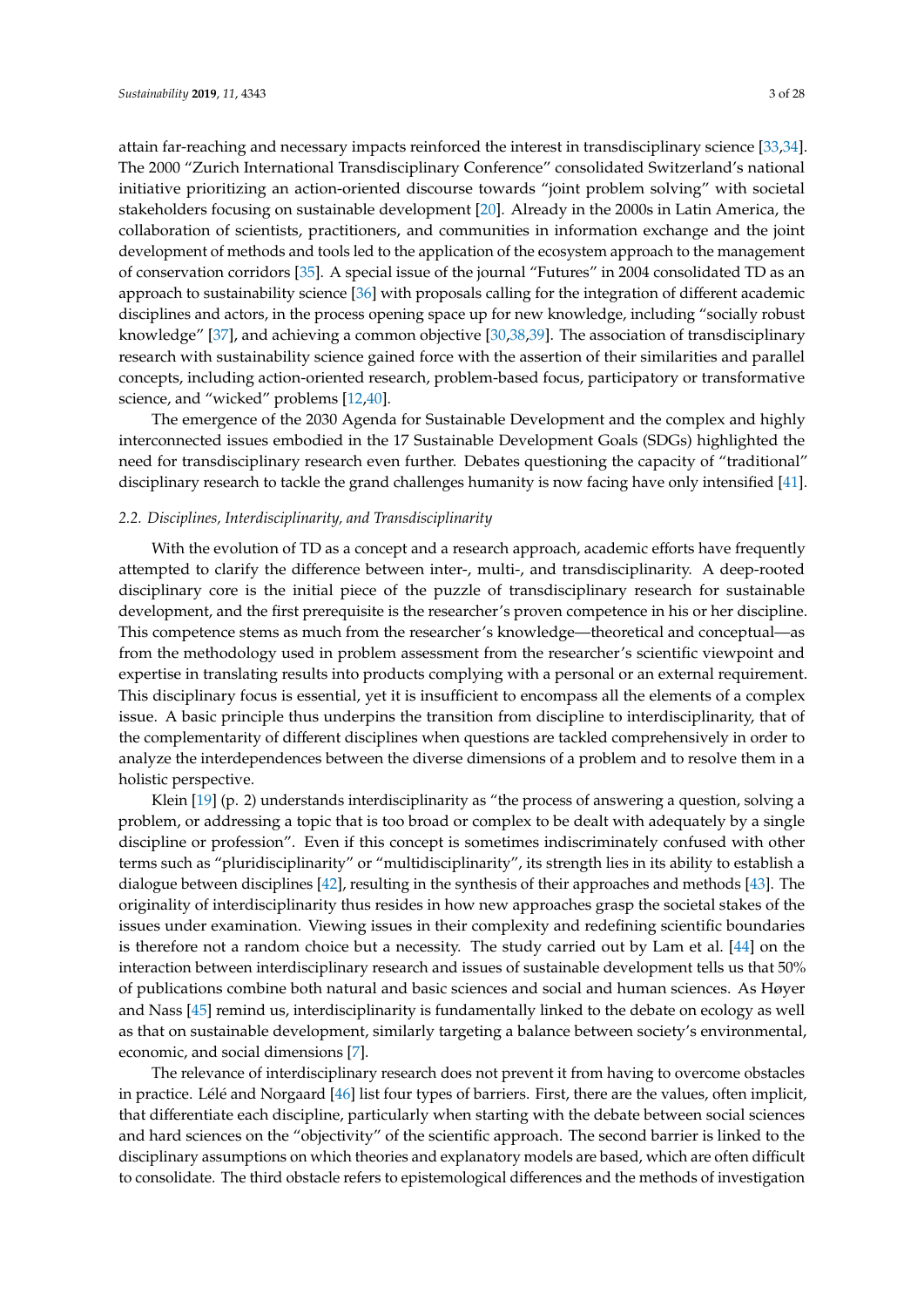attain far-reaching and necessary impacts reinforced the interest in transdisciplinary science [\[33,](#page-25-7)[34\]](#page-25-8). The 2000 "Zurich International Transdisciplinary Conference" consolidated Switzerland's national initiative prioritizing an action-oriented discourse towards "joint problem solving" with societal stakeholders focusing on sustainable development [\[20\]](#page-24-18). Already in the 2000s in Latin America, the collaboration of scientists, practitioners, and communities in information exchange and the joint development of methods and tools led to the application of the ecosystem approach to the management of conservation corridors [\[35\]](#page-25-9). A special issue of the journal "Futures" in 2004 consolidated TD as an approach to sustainability science [\[36\]](#page-25-10) with proposals calling for the integration of different academic disciplines and actors, in the process opening space up for new knowledge, including "socially robust knowledge" [\[37\]](#page-25-11), and achieving a common objective [\[30,](#page-25-4)[38,](#page-25-12)[39\]](#page-25-13). The association of transdisciplinary research with sustainability science gained force with the assertion of their similarities and parallel

The emergence of the 2030 Agenda for Sustainable Development and the complex and highly interconnected issues embodied in the 17 Sustainable Development Goals (SDGs) highlighted the need for transdisciplinary research even further. Debates questioning the capacity of "traditional" disciplinary research to tackle the grand challenges humanity is now facing have only intensified [\[41\]](#page-25-15).

concepts, including action-oriented research, problem-based focus, participatory or transformative

# *2.2. Disciplines, Interdisciplinarity, and Transdisciplinarity*

science, and "wicked" problems [\[12](#page-24-19)[,40\]](#page-25-14).

With the evolution of TD as a concept and a research approach, academic efforts have frequently attempted to clarify the difference between inter-, multi-, and transdisciplinarity. A deep-rooted disciplinary core is the initial piece of the puzzle of transdisciplinary research for sustainable development, and the first prerequisite is the researcher's proven competence in his or her discipline. This competence stems as much from the researcher's knowledge—theoretical and conceptual—as from the methodology used in problem assessment from the researcher's scientific viewpoint and expertise in translating results into products complying with a personal or an external requirement. This disciplinary focus is essential, yet it is insufficient to encompass all the elements of a complex issue. A basic principle thus underpins the transition from discipline to interdisciplinarity, that of the complementarity of different disciplines when questions are tackled comprehensively in order to analyze the interdependences between the diverse dimensions of a problem and to resolve them in a holistic perspective.

Klein [\[19\]](#page-24-20) (p. 2) understands interdisciplinarity as "the process of answering a question, solving a problem, or addressing a topic that is too broad or complex to be dealt with adequately by a single discipline or profession". Even if this concept is sometimes indiscriminately confused with other terms such as "pluridisciplinarity" or "multidisciplinarity", its strength lies in its ability to establish a dialogue between disciplines [\[42\]](#page-25-16), resulting in the synthesis of their approaches and methods [\[43\]](#page-25-17). The originality of interdisciplinarity thus resides in how new approaches grasp the societal stakes of the issues under examination. Viewing issues in their complexity and redefining scientific boundaries is therefore not a random choice but a necessity. The study carried out by Lam et al. [\[44\]](#page-25-18) on the interaction between interdisciplinary research and issues of sustainable development tells us that 50% of publications combine both natural and basic sciences and social and human sciences. As Høyer and Nass [\[45\]](#page-25-19) remind us, interdisciplinarity is fundamentally linked to the debate on ecology as well as that on sustainable development, similarly targeting a balance between society's environmental, economic, and social dimensions [\[7\]](#page-24-3).

The relevance of interdisciplinary research does not prevent it from having to overcome obstacles in practice. Lélé and Norgaard [\[46\]](#page-25-20) list four types of barriers. First, there are the values, often implicit, that differentiate each discipline, particularly when starting with the debate between social sciences and hard sciences on the "objectivity" of the scientific approach. The second barrier is linked to the disciplinary assumptions on which theories and explanatory models are based, which are often difficult to consolidate. The third obstacle refers to epistemological differences and the methods of investigation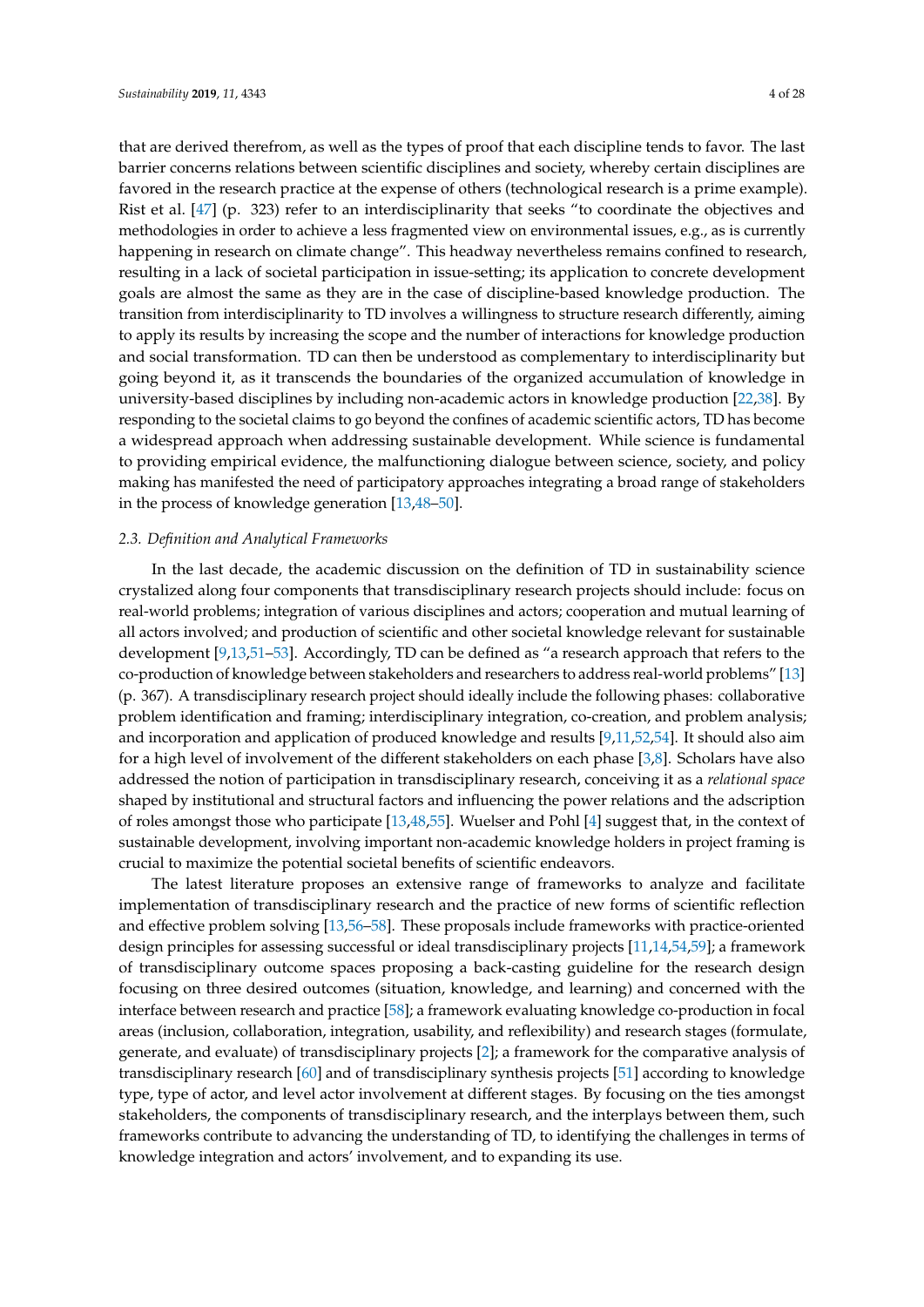that are derived therefrom, as well as the types of proof that each discipline tends to favor. The last barrier concerns relations between scientific disciplines and society, whereby certain disciplines are favored in the research practice at the expense of others (technological research is a prime example). Rist et al. [\[47\]](#page-25-21) (p. 323) refer to an interdisciplinarity that seeks "to coordinate the objectives and methodologies in order to achieve a less fragmented view on environmental issues, e.g., as is currently happening in research on climate change". This headway nevertheless remains confined to research, resulting in a lack of societal participation in issue-setting; its application to concrete development goals are almost the same as they are in the case of discipline-based knowledge production. The transition from interdisciplinarity to TD involves a willingness to structure research differently, aiming to apply its results by increasing the scope and the number of interactions for knowledge production and social transformation. TD can then be understood as complementary to interdisciplinarity but going beyond it, as it transcends the boundaries of the organized accumulation of knowledge in university-based disciplines by including non-academic actors in knowledge production [\[22,](#page-24-14)[38\]](#page-25-12). By responding to the societal claims to go beyond the confines of academic scientific actors, TD has become a widespread approach when addressing sustainable development. While science is fundamental to providing empirical evidence, the malfunctioning dialogue between science, society, and policy making has manifested the need of participatory approaches integrating a broad range of stakeholders in the process of knowledge generation [\[13,](#page-24-7)[48–](#page-25-22)[50\]](#page-26-0).

## *2.3. Definition and Analytical Frameworks*

In the last decade, the academic discussion on the definition of TD in sustainability science crystalized along four components that transdisciplinary research projects should include: focus on real-world problems; integration of various disciplines and actors; cooperation and mutual learning of all actors involved; and production of scientific and other societal knowledge relevant for sustainable development [\[9,](#page-24-5)[13,](#page-24-7)[51](#page-26-1)[–53\]](#page-26-2). Accordingly, TD can be defined as "a research approach that refers to the co-production of knowledge between stakeholders and researchers to address real-world problems" [\[13\]](#page-24-7) (p. 367). A transdisciplinary research project should ideally include the following phases: collaborative problem identification and framing; interdisciplinary integration, co-creation, and problem analysis; and incorporation and application of produced knowledge and results [\[9,](#page-24-5)[11,](#page-24-8)[52,](#page-26-3)[54\]](#page-26-4). It should also aim for a high level of involvement of the different stakeholders on each phase [\[3,](#page-24-0)[8\]](#page-24-4). Scholars have also addressed the notion of participation in transdisciplinary research, conceiving it as a *relational space* shaped by institutional and structural factors and influencing the power relations and the adscription of roles amongst those who participate [\[13,](#page-24-7)[48](#page-25-22)[,55\]](#page-26-5). Wuelser and Pohl [\[4\]](#page-24-1) suggest that, in the context of sustainable development, involving important non-academic knowledge holders in project framing is crucial to maximize the potential societal benefits of scientific endeavors.

The latest literature proposes an extensive range of frameworks to analyze and facilitate implementation of transdisciplinary research and the practice of new forms of scientific reflection and effective problem solving [\[13](#page-24-7)[,56](#page-26-6)[–58\]](#page-26-7). These proposals include frameworks with practice-oriented design principles for assessing successful or ideal transdisciplinary projects [\[11](#page-24-8)[,14](#page-24-9)[,54](#page-26-4)[,59\]](#page-26-8); a framework of transdisciplinary outcome spaces proposing a back-casting guideline for the research design focusing on three desired outcomes (situation, knowledge, and learning) and concerned with the interface between research and practice [\[58\]](#page-26-7); a framework evaluating knowledge co-production in focal areas (inclusion, collaboration, integration, usability, and reflexibility) and research stages (formulate, generate, and evaluate) of transdisciplinary projects [\[2\]](#page-23-1); a framework for the comparative analysis of transdisciplinary research [\[60\]](#page-26-9) and of transdisciplinary synthesis projects [\[51\]](#page-26-1) according to knowledge type, type of actor, and level actor involvement at different stages. By focusing on the ties amongst stakeholders, the components of transdisciplinary research, and the interplays between them, such frameworks contribute to advancing the understanding of TD, to identifying the challenges in terms of knowledge integration and actors' involvement, and to expanding its use.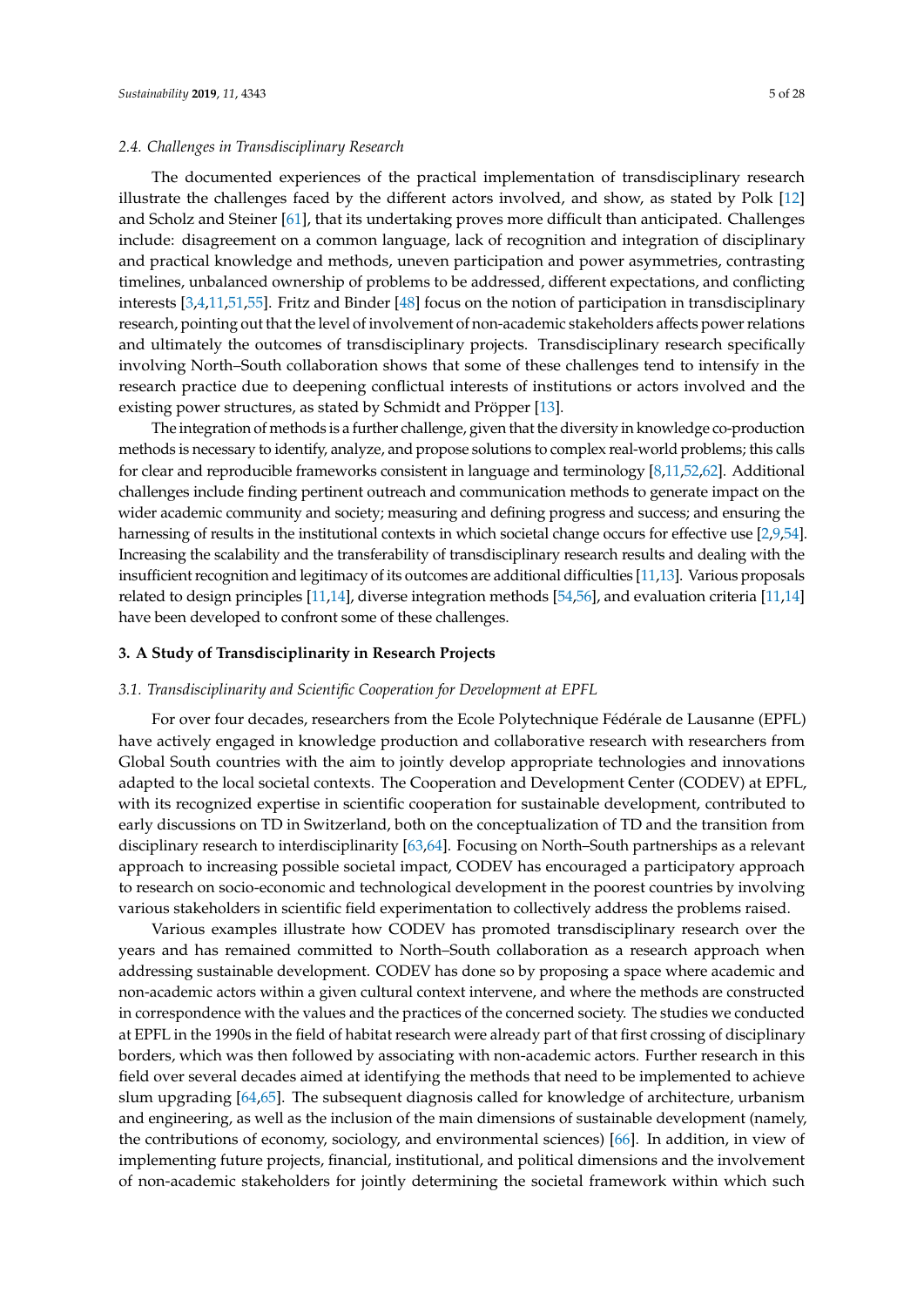## *2.4. Challenges in Transdisciplinary Research*

The documented experiences of the practical implementation of transdisciplinary research illustrate the challenges faced by the different actors involved, and show, as stated by Polk [\[12\]](#page-24-19) and Scholz and Steiner [\[61\]](#page-26-10), that its undertaking proves more difficult than anticipated. Challenges include: disagreement on a common language, lack of recognition and integration of disciplinary and practical knowledge and methods, uneven participation and power asymmetries, contrasting timelines, unbalanced ownership of problems to be addressed, different expectations, and conflicting interests [\[3,](#page-24-0)[4,](#page-24-1)[11,](#page-24-8)[51,](#page-26-1)[55\]](#page-26-5). Fritz and Binder [\[48\]](#page-25-22) focus on the notion of participation in transdisciplinary research, pointing out that the level of involvement of non-academic stakeholders affects power relations and ultimately the outcomes of transdisciplinary projects. Transdisciplinary research specifically involving North–South collaboration shows that some of these challenges tend to intensify in the research practice due to deepening conflictual interests of institutions or actors involved and the existing power structures, as stated by Schmidt and Pröpper [\[13\]](#page-24-7).

The integration of methods is a further challenge, given that the diversity in knowledge co-production methods is necessary to identify, analyze, and propose solutions to complex real-world problems; this calls for clear and reproducible frameworks consistent in language and terminology [\[8](#page-24-4)[,11](#page-24-8)[,52,](#page-26-3)[62\]](#page-26-11). Additional challenges include finding pertinent outreach and communication methods to generate impact on the wider academic community and society; measuring and defining progress and success; and ensuring the harnessing of results in the institutional contexts in which societal change occurs for effective use [\[2,](#page-23-1)[9](#page-24-5)[,54\]](#page-26-4). Increasing the scalability and the transferability of transdisciplinary research results and dealing with the insufficient recognition and legitimacy of its outcomes are additional difficulties [\[11,](#page-24-8)[13\]](#page-24-7). Various proposals related to design principles [\[11](#page-24-8)[,14\]](#page-24-9), diverse integration methods [\[54,](#page-26-4)[56\]](#page-26-6), and evaluation criteria [\[11](#page-24-8)[,14\]](#page-24-9) have been developed to confront some of these challenges.

# **3. A Study of Transdisciplinarity in Research Projects**

## *3.1. Transdisciplinarity and Scientific Cooperation for Development at EPFL*

For over four decades, researchers from the Ecole Polytechnique Fédérale de Lausanne (EPFL) have actively engaged in knowledge production and collaborative research with researchers from Global South countries with the aim to jointly develop appropriate technologies and innovations adapted to the local societal contexts. The Cooperation and Development Center (CODEV) at EPFL, with its recognized expertise in scientific cooperation for sustainable development, contributed to early discussions on TD in Switzerland, both on the conceptualization of TD and the transition from disciplinary research to interdisciplinarity [\[63,](#page-26-12)[64\]](#page-26-13). Focusing on North–South partnerships as a relevant approach to increasing possible societal impact, CODEV has encouraged a participatory approach to research on socio-economic and technological development in the poorest countries by involving various stakeholders in scientific field experimentation to collectively address the problems raised.

Various examples illustrate how CODEV has promoted transdisciplinary research over the years and has remained committed to North–South collaboration as a research approach when addressing sustainable development. CODEV has done so by proposing a space where academic and non-academic actors within a given cultural context intervene, and where the methods are constructed in correspondence with the values and the practices of the concerned society. The studies we conducted at EPFL in the 1990s in the field of habitat research were already part of that first crossing of disciplinary borders, which was then followed by associating with non-academic actors. Further research in this field over several decades aimed at identifying the methods that need to be implemented to achieve slum upgrading [\[64](#page-26-13)[,65\]](#page-26-14). The subsequent diagnosis called for knowledge of architecture, urbanism and engineering, as well as the inclusion of the main dimensions of sustainable development (namely, the contributions of economy, sociology, and environmental sciences) [\[66\]](#page-26-15). In addition, in view of implementing future projects, financial, institutional, and political dimensions and the involvement of non-academic stakeholders for jointly determining the societal framework within which such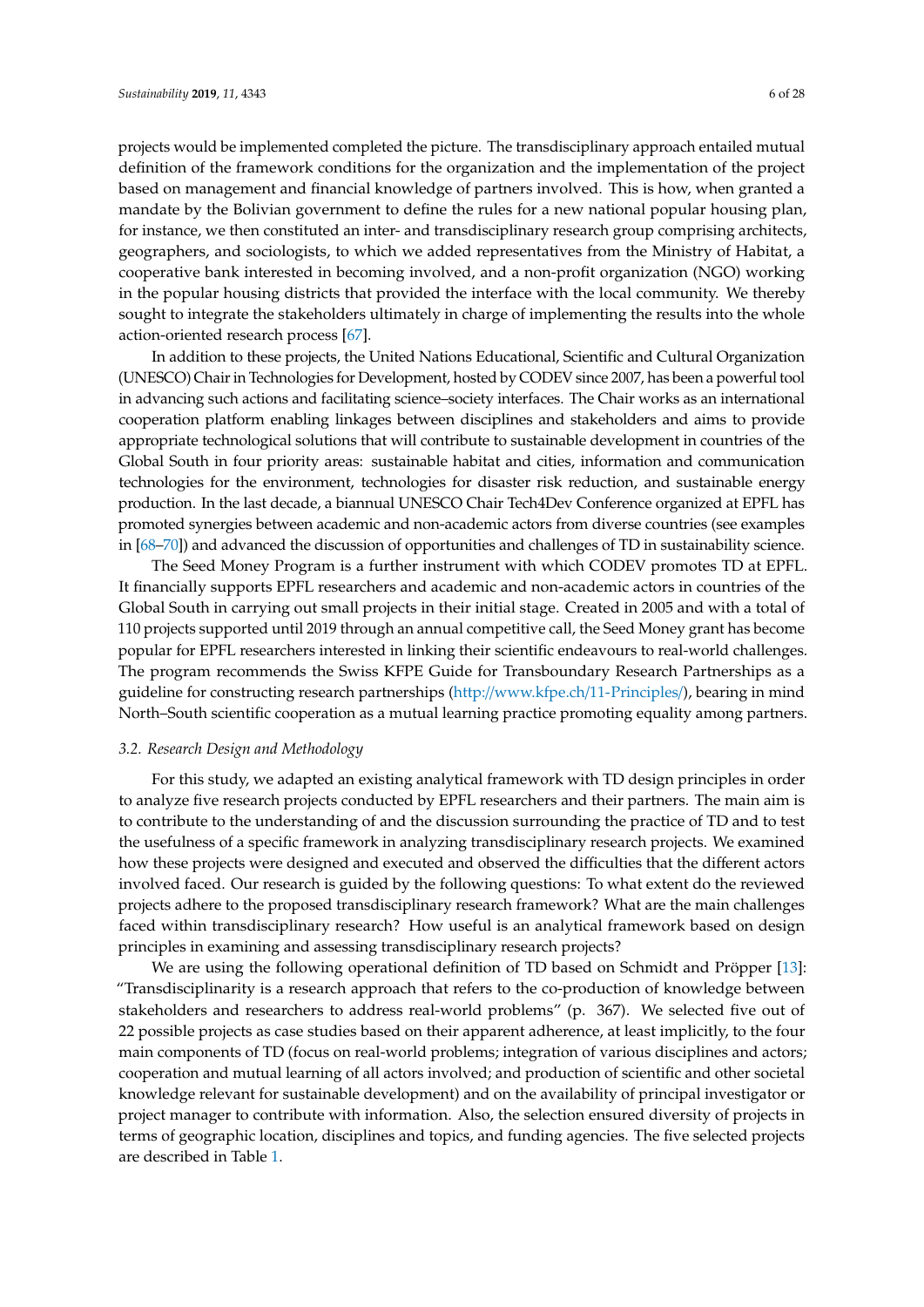projects would be implemented completed the picture. The transdisciplinary approach entailed mutual definition of the framework conditions for the organization and the implementation of the project based on management and financial knowledge of partners involved. This is how, when granted a mandate by the Bolivian government to define the rules for a new national popular housing plan, for instance, we then constituted an inter- and transdisciplinary research group comprising architects, geographers, and sociologists, to which we added representatives from the Ministry of Habitat, a cooperative bank interested in becoming involved, and a non-profit organization (NGO) working in the popular housing districts that provided the interface with the local community. We thereby sought to integrate the stakeholders ultimately in charge of implementing the results into the whole action-oriented research process [\[67\]](#page-26-16).

In addition to these projects, the United Nations Educational, Scientific and Cultural Organization (UNESCO) Chair in Technologies for Development, hosted by CODEV since 2007, has been a powerful tool in advancing such actions and facilitating science–society interfaces. The Chair works as an international cooperation platform enabling linkages between disciplines and stakeholders and aims to provide appropriate technological solutions that will contribute to sustainable development in countries of the Global South in four priority areas: sustainable habitat and cities, information and communication technologies for the environment, technologies for disaster risk reduction, and sustainable energy production. In the last decade, a biannual UNESCO Chair Tech4Dev Conference organized at EPFL has promoted synergies between academic and non-academic actors from diverse countries (see examples in [\[68](#page-26-17)[–70\]](#page-26-18)) and advanced the discussion of opportunities and challenges of TD in sustainability science.

The Seed Money Program is a further instrument with which CODEV promotes TD at EPFL. It financially supports EPFL researchers and academic and non-academic actors in countries of the Global South in carrying out small projects in their initial stage. Created in 2005 and with a total of 110 projects supported until 2019 through an annual competitive call, the Seed Money grant has become popular for EPFL researchers interested in linking their scientific endeavours to real-world challenges. The program recommends the Swiss KFPE Guide for Transboundary Research Partnerships as a guideline for constructing research partnerships (http://[www.kfpe.ch](http://www.kfpe.ch/11-Principles/)/11-Principles/), bearing in mind North–South scientific cooperation as a mutual learning practice promoting equality among partners.

# *3.2. Research Design and Methodology*

For this study, we adapted an existing analytical framework with TD design principles in order to analyze five research projects conducted by EPFL researchers and their partners. The main aim is to contribute to the understanding of and the discussion surrounding the practice of TD and to test the usefulness of a specific framework in analyzing transdisciplinary research projects. We examined how these projects were designed and executed and observed the difficulties that the different actors involved faced. Our research is guided by the following questions: To what extent do the reviewed projects adhere to the proposed transdisciplinary research framework? What are the main challenges faced within transdisciplinary research? How useful is an analytical framework based on design principles in examining and assessing transdisciplinary research projects?

We are using the following operational definition of TD based on Schmidt and Pröpper [\[13\]](#page-24-7): "Transdisciplinarity is a research approach that refers to the co-production of knowledge between stakeholders and researchers to address real-world problems" (p. 367). We selected five out of 22 possible projects as case studies based on their apparent adherence, at least implicitly, to the four main components of TD (focus on real-world problems; integration of various disciplines and actors; cooperation and mutual learning of all actors involved; and production of scientific and other societal knowledge relevant for sustainable development) and on the availability of principal investigator or project manager to contribute with information. Also, the selection ensured diversity of projects in terms of geographic location, disciplines and topics, and funding agencies. The five selected projects are described in Table [1.](#page-6-0)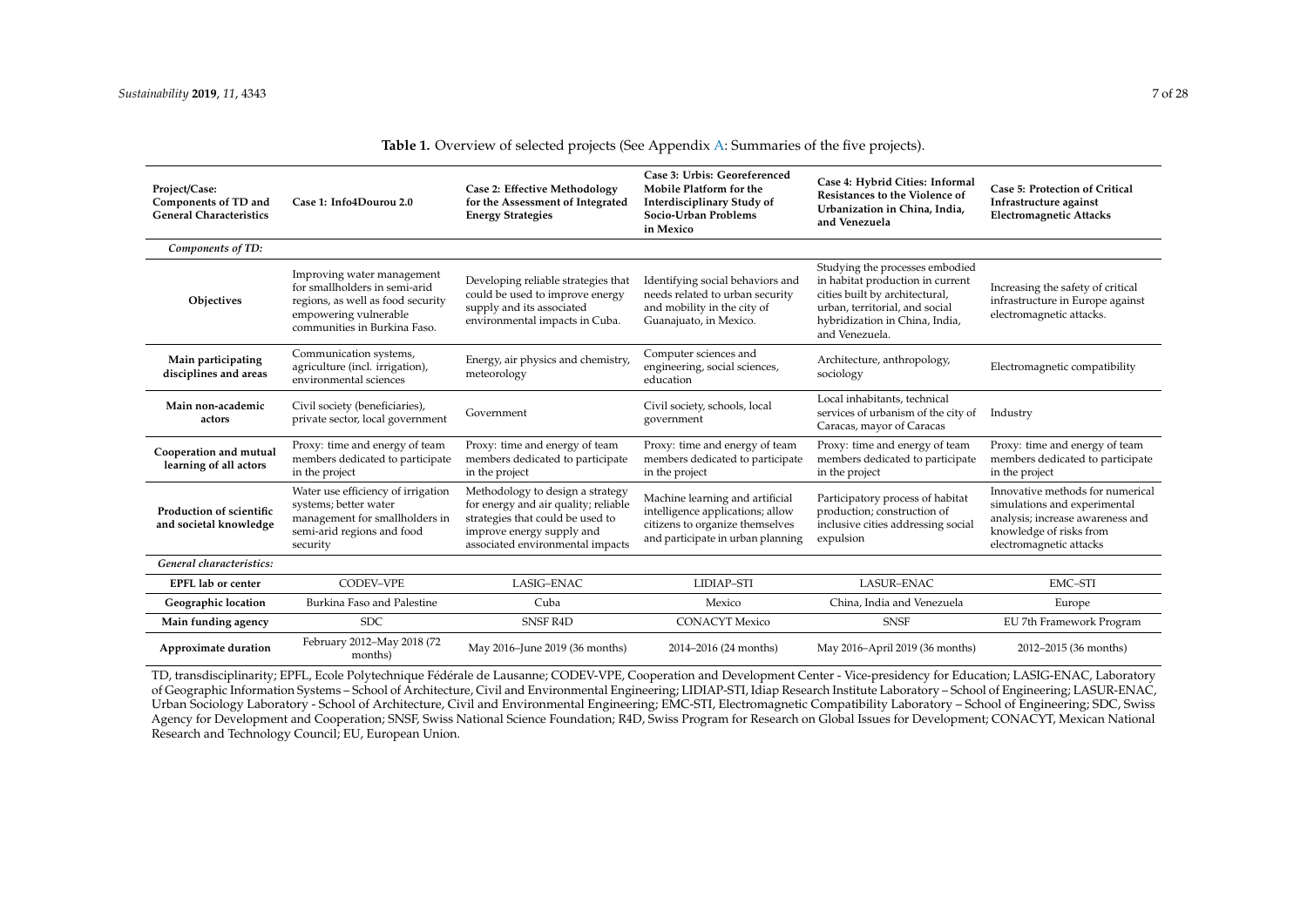### **Table 1.** Overview of selected projects (See Appendix [A:](#page-21-0) Summaries of the five projects).

| Project/Case:<br>Components of TD and<br><b>General Characteristics</b> | <b>Case 2: Effective Methodology</b><br>Case 1: Info4Dourou 2.0<br>for the Assessment of Integrated<br><b>Energy Strategies</b>                           |                                                                                                                                                                               | Case 3: Urbis: Georeferenced<br>Mobile Platform for the<br>Interdisciplinary Study of<br>Socio-Urban Problems<br>in Mexico                  | Case 4: Hybrid Cities: Informal<br><b>Resistances to the Violence of</b><br>Urbanization in China, India,<br>and Venezuela                                                                  | Case 5: Protection of Critical<br>Infrastructure against<br><b>Electromagnetic Attacks</b>                                                                 |  |
|-------------------------------------------------------------------------|-----------------------------------------------------------------------------------------------------------------------------------------------------------|-------------------------------------------------------------------------------------------------------------------------------------------------------------------------------|---------------------------------------------------------------------------------------------------------------------------------------------|---------------------------------------------------------------------------------------------------------------------------------------------------------------------------------------------|------------------------------------------------------------------------------------------------------------------------------------------------------------|--|
| Components of TD:                                                       |                                                                                                                                                           |                                                                                                                                                                               |                                                                                                                                             |                                                                                                                                                                                             |                                                                                                                                                            |  |
| Objectives                                                              | Improving water management<br>for smallholders in semi-arid<br>regions, as well as food security<br>empowering vulnerable<br>communities in Burkina Faso. | Developing reliable strategies that<br>could be used to improve energy<br>supply and its associated<br>environmental impacts in Cuba.                                         | Identifying social behaviors and<br>needs related to urban security<br>and mobility in the city of<br>Guanajuato, in Mexico.                | Studying the processes embodied<br>in habitat production in current<br>cities built by architectural,<br>urban, territorial, and social<br>hybridization in China, India,<br>and Venezuela. | Increasing the safety of critical<br>infrastructure in Europe against<br>electromagnetic attacks.                                                          |  |
| Main participating<br>disciplines and areas                             | Communication systems,<br>agriculture (incl. irrigation),<br>environmental sciences                                                                       | Energy, air physics and chemistry,<br>meteorology                                                                                                                             | Computer sciences and<br>engineering, social sciences,<br>education                                                                         | Architecture, anthropology,<br>sociology                                                                                                                                                    | Electromagnetic compatibility                                                                                                                              |  |
| Main non-academic<br>actors                                             | Civil society (beneficiaries),<br>private sector, local government                                                                                        | Government                                                                                                                                                                    | Civil society, schools, local<br>government                                                                                                 | Local inhabitants, technical<br>services of urbanism of the city of<br>Caracas, mayor of Caracas                                                                                            | Industry                                                                                                                                                   |  |
| Cooperation and mutual<br>learning of all actors                        | Proxy: time and energy of team<br>members dedicated to participate<br>in the project                                                                      | Proxy: time and energy of team<br>members dedicated to participate<br>in the project                                                                                          | Proxy: time and energy of team<br>members dedicated to participate<br>in the project                                                        | Proxy: time and energy of team<br>members dedicated to participate<br>in the project                                                                                                        | Proxy: time and energy of team<br>members dedicated to participate<br>in the project                                                                       |  |
| Production of scientific<br>and societal knowledge                      | Water use efficiency of irrigation<br>systems; better water<br>management for smallholders in<br>semi-arid regions and food<br>security                   | Methodology to design a strategy<br>for energy and air quality; reliable<br>strategies that could be used to<br>improve energy supply and<br>associated environmental impacts | Machine learning and artificial<br>intelligence applications; allow<br>citizens to organize themselves<br>and participate in urban planning | Participatory process of habitat<br>production; construction of<br>inclusive cities addressing social<br>expulsion                                                                          | Innovative methods for numerical<br>simulations and experimental<br>analysis; increase awareness and<br>knowledge of risks from<br>electromagnetic attacks |  |
| General characteristics:                                                |                                                                                                                                                           |                                                                                                                                                                               |                                                                                                                                             |                                                                                                                                                                                             |                                                                                                                                                            |  |
| <b>EPFL</b> lab or center                                               | CODEV-VPE                                                                                                                                                 | LASIG-ENAC                                                                                                                                                                    | LIDIAP-STI                                                                                                                                  | <b>LASUR-ENAC</b>                                                                                                                                                                           | EMC-STI                                                                                                                                                    |  |
| Geographic location                                                     | Burkina Faso and Palestine                                                                                                                                | Cuba                                                                                                                                                                          | Mexico                                                                                                                                      | China, India and Venezuela                                                                                                                                                                  | Europe                                                                                                                                                     |  |
| Main funding agency                                                     | <b>SDC</b>                                                                                                                                                | <b>SNSF R4D</b>                                                                                                                                                               | <b>CONACYT Mexico</b>                                                                                                                       | <b>SNSF</b>                                                                                                                                                                                 | EU 7th Framework Program                                                                                                                                   |  |
| Approximate duration                                                    | February 2012-May 2018 (72<br>months)                                                                                                                     | May 2016-June 2019 (36 months)                                                                                                                                                | 2014-2016 (24 months)                                                                                                                       | May 2016-April 2019 (36 months)                                                                                                                                                             | 2012-2015 (36 months)                                                                                                                                      |  |

<span id="page-6-0"></span>TD, transdisciplinarity; EPFL, Ecole Polytechnique Fédérale de Lausanne; CODEV-VPE, Cooperation and Development Center - Vice-presidency for Education; LASIG-ENAC, Laboratory of Geographic Information Systems – School of Architecture, Civil and Environmental Engineering; LIDIAP-STI, Idiap Research Institute Laboratory – School of Engineering; LASUR-ENAC, Urban Sociology Laboratory - School of Architecture, Civil and Environmental Engineering; EMC-STI, Electromagnetic Compatibility Laboratory – School of Engineering; SDC, Swiss Agency for Development and Cooperation; SNSF, Swiss National Science Foundation; R4D, Swiss Program for Research on Global Issues for Development; CONACYT, Mexican National Research and Technology Council; EU, European Union.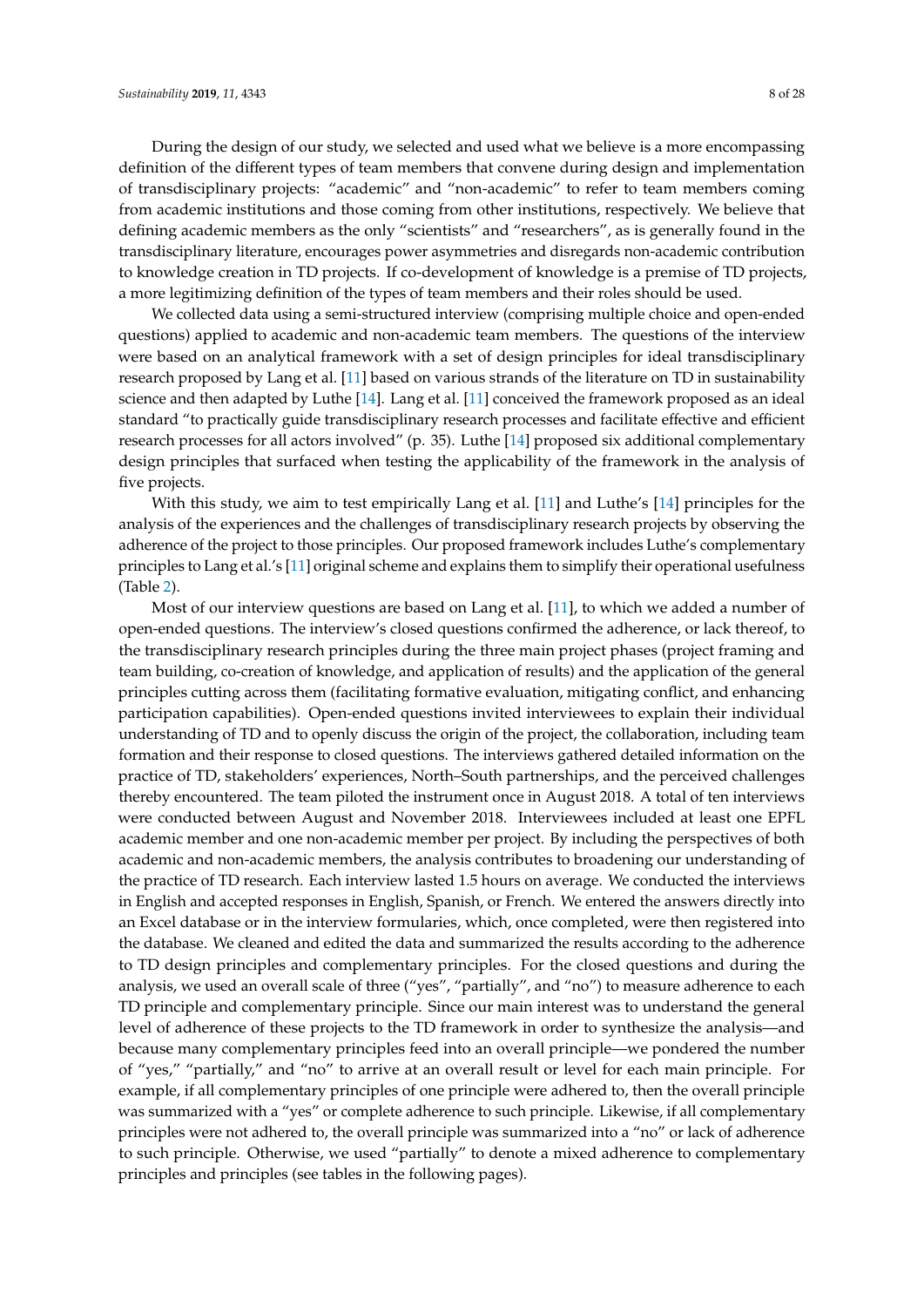During the design of our study, we selected and used what we believe is a more encompassing definition of the different types of team members that convene during design and implementation of transdisciplinary projects: "academic" and "non-academic" to refer to team members coming from academic institutions and those coming from other institutions, respectively. We believe that defining academic members as the only "scientists" and "researchers", as is generally found in the transdisciplinary literature, encourages power asymmetries and disregards non-academic contribution to knowledge creation in TD projects. If co-development of knowledge is a premise of TD projects, a more legitimizing definition of the types of team members and their roles should be used.

We collected data using a semi-structured interview (comprising multiple choice and open-ended questions) applied to academic and non-academic team members. The questions of the interview were based on an analytical framework with a set of design principles for ideal transdisciplinary research proposed by Lang et al. [\[11\]](#page-24-8) based on various strands of the literature on TD in sustainability science and then adapted by Luthe [\[14\]](#page-24-9). Lang et al. [\[11\]](#page-24-8) conceived the framework proposed as an ideal standard "to practically guide transdisciplinary research processes and facilitate effective and efficient research processes for all actors involved" (p. 35). Luthe [\[14\]](#page-24-9) proposed six additional complementary design principles that surfaced when testing the applicability of the framework in the analysis of five projects.

With this study, we aim to test empirically Lang et al. [\[11\]](#page-24-8) and Luthe's [\[14\]](#page-24-9) principles for the analysis of the experiences and the challenges of transdisciplinary research projects by observing the adherence of the project to those principles. Our proposed framework includes Luthe's complementary principles to Lang et al.'s [\[11\]](#page-24-8) original scheme and explains them to simplify their operational usefulness (Table [2\)](#page-8-0).

Most of our interview questions are based on Lang et al. [\[11\]](#page-24-8), to which we added a number of open-ended questions. The interview's closed questions confirmed the adherence, or lack thereof, to the transdisciplinary research principles during the three main project phases (project framing and team building, co-creation of knowledge, and application of results) and the application of the general principles cutting across them (facilitating formative evaluation, mitigating conflict, and enhancing participation capabilities). Open-ended questions invited interviewees to explain their individual understanding of TD and to openly discuss the origin of the project, the collaboration, including team formation and their response to closed questions. The interviews gathered detailed information on the practice of TD, stakeholders' experiences, North–South partnerships, and the perceived challenges thereby encountered. The team piloted the instrument once in August 2018. A total of ten interviews were conducted between August and November 2018. Interviewees included at least one EPFL academic member and one non-academic member per project. By including the perspectives of both academic and non-academic members, the analysis contributes to broadening our understanding of the practice of TD research. Each interview lasted 1.5 hours on average. We conducted the interviews in English and accepted responses in English, Spanish, or French. We entered the answers directly into an Excel database or in the interview formularies, which, once completed, were then registered into the database. We cleaned and edited the data and summarized the results according to the adherence to TD design principles and complementary principles. For the closed questions and during the analysis, we used an overall scale of three ("yes", "partially", and "no") to measure adherence to each TD principle and complementary principle. Since our main interest was to understand the general level of adherence of these projects to the TD framework in order to synthesize the analysis—and because many complementary principles feed into an overall principle—we pondered the number of "yes," "partially," and "no" to arrive at an overall result or level for each main principle. For example, if all complementary principles of one principle were adhered to, then the overall principle was summarized with a "yes" or complete adherence to such principle. Likewise, if all complementary principles were not adhered to, the overall principle was summarized into a "no" or lack of adherence to such principle. Otherwise, we used "partially" to denote a mixed adherence to complementary principles and principles (see tables in the following pages).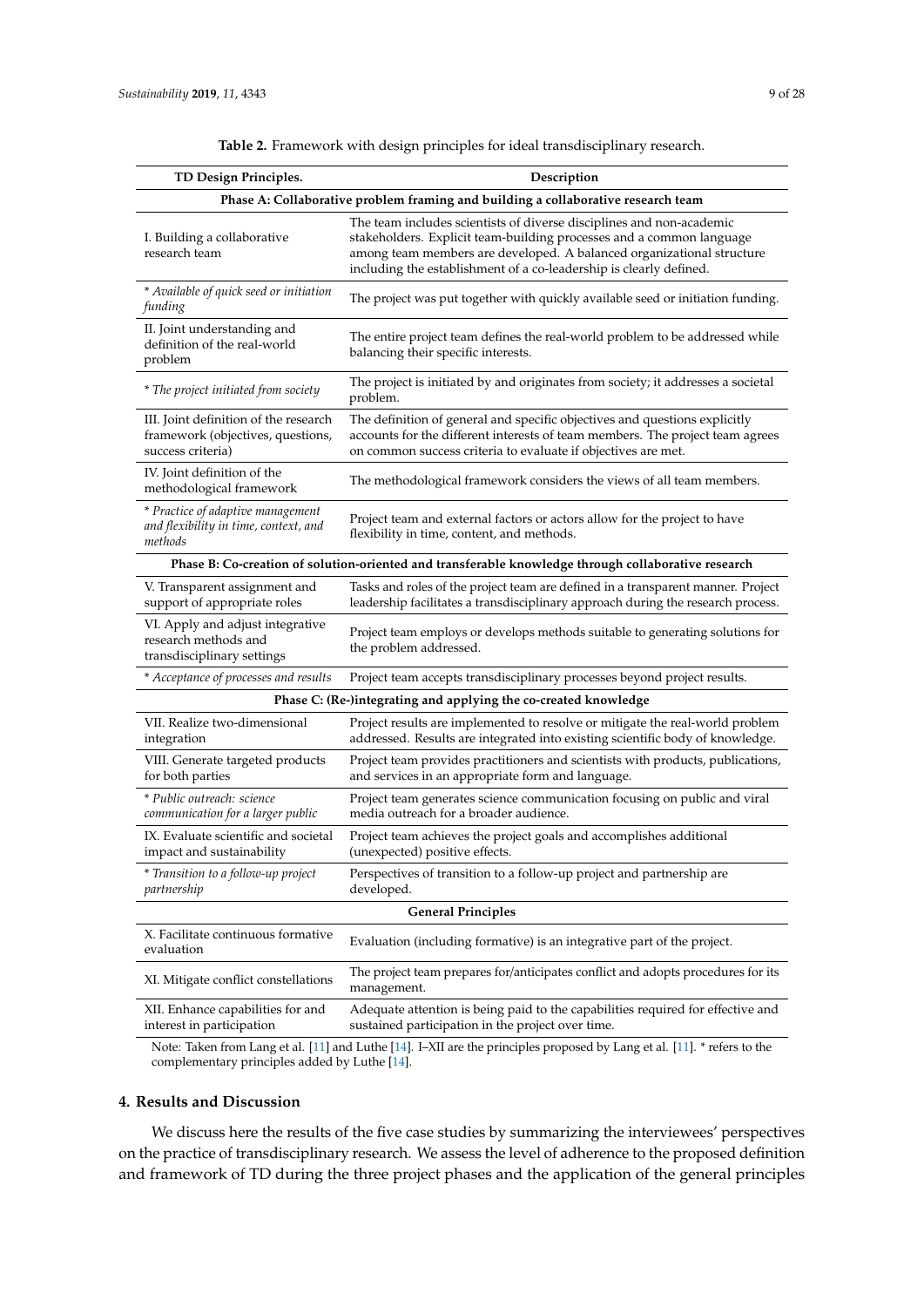<span id="page-8-0"></span>

| TD Design Principles.                                                                           | Description                                                                                                                                                                                                                                                                                 |  |  |  |  |  |  |  |  |  |  |
|-------------------------------------------------------------------------------------------------|---------------------------------------------------------------------------------------------------------------------------------------------------------------------------------------------------------------------------------------------------------------------------------------------|--|--|--|--|--|--|--|--|--|--|
|                                                                                                 | Phase A: Collaborative problem framing and building a collaborative research team                                                                                                                                                                                                           |  |  |  |  |  |  |  |  |  |  |
| I. Building a collaborative<br>research team                                                    | The team includes scientists of diverse disciplines and non-academic<br>stakeholders. Explicit team-building processes and a common language<br>among team members are developed. A balanced organizational structure<br>including the establishment of a co-leadership is clearly defined. |  |  |  |  |  |  |  |  |  |  |
| * Available of quick seed or initiation<br>funding                                              | The project was put together with quickly available seed or initiation funding.                                                                                                                                                                                                             |  |  |  |  |  |  |  |  |  |  |
| II. Joint understanding and<br>definition of the real-world<br>problem                          | The entire project team defines the real-world problem to be addressed while<br>balancing their specific interests.                                                                                                                                                                         |  |  |  |  |  |  |  |  |  |  |
| * The project initiated from society                                                            | The project is initiated by and originates from society; it addresses a societal<br>problem.                                                                                                                                                                                                |  |  |  |  |  |  |  |  |  |  |
| III. Joint definition of the research<br>framework (objectives, questions,<br>success criteria) | The definition of general and specific objectives and questions explicitly<br>accounts for the different interests of team members. The project team agrees<br>on common success criteria to evaluate if objectives are met.                                                                |  |  |  |  |  |  |  |  |  |  |
| IV. Joint definition of the<br>methodological framework                                         | The methodological framework considers the views of all team members.                                                                                                                                                                                                                       |  |  |  |  |  |  |  |  |  |  |
| * Practice of adaptive management<br>and flexibility in time, context, and<br>methods           | Project team and external factors or actors allow for the project to have<br>flexibility in time, content, and methods.                                                                                                                                                                     |  |  |  |  |  |  |  |  |  |  |
|                                                                                                 | Phase B: Co-creation of solution-oriented and transferable knowledge through collaborative research                                                                                                                                                                                         |  |  |  |  |  |  |  |  |  |  |
| V. Transparent assignment and<br>support of appropriate roles                                   | Tasks and roles of the project team are defined in a transparent manner. Project<br>leadership facilitates a transdisciplinary approach during the research process.                                                                                                                        |  |  |  |  |  |  |  |  |  |  |
| VI. Apply and adjust integrative<br>research methods and<br>transdisciplinary settings          | Project team employs or develops methods suitable to generating solutions for<br>the problem addressed.                                                                                                                                                                                     |  |  |  |  |  |  |  |  |  |  |
| * Acceptance of processes and results                                                           | Project team accepts transdisciplinary processes beyond project results.                                                                                                                                                                                                                    |  |  |  |  |  |  |  |  |  |  |
|                                                                                                 | Phase C: (Re-)integrating and applying the co-created knowledge                                                                                                                                                                                                                             |  |  |  |  |  |  |  |  |  |  |
| VII. Realize two-dimensional<br>integration                                                     | Project results are implemented to resolve or mitigate the real-world problem<br>addressed. Results are integrated into existing scientific body of knowledge.                                                                                                                              |  |  |  |  |  |  |  |  |  |  |
| VIII. Generate targeted products<br>for both parties                                            | Project team provides practitioners and scientists with products, publications,<br>and services in an appropriate form and language.                                                                                                                                                        |  |  |  |  |  |  |  |  |  |  |
| * Public outreach: science<br>communication for a larger public                                 | Project team generates science communication focusing on public and viral<br>media outreach for a broader audience.                                                                                                                                                                         |  |  |  |  |  |  |  |  |  |  |
| IX. Evaluate scientific and societal<br>impact and sustainability                               | Project team achieves the project goals and accomplishes additional<br>(unexpected) positive effects.                                                                                                                                                                                       |  |  |  |  |  |  |  |  |  |  |
| * Transition to a follow-up project<br>partnership                                              | Perspectives of transition to a follow-up project and partnership are<br>developed.                                                                                                                                                                                                         |  |  |  |  |  |  |  |  |  |  |
|                                                                                                 | <b>General Principles</b>                                                                                                                                                                                                                                                                   |  |  |  |  |  |  |  |  |  |  |
| X. Facilitate continuous formative<br>evaluation                                                | Evaluation (including formative) is an integrative part of the project.                                                                                                                                                                                                                     |  |  |  |  |  |  |  |  |  |  |
| XI. Mitigate conflict constellations                                                            | The project team prepares for/anticipates conflict and adopts procedures for its<br>management.                                                                                                                                                                                             |  |  |  |  |  |  |  |  |  |  |
| XII. Enhance capabilities for and<br>interest in participation                                  | Adequate attention is being paid to the capabilities required for effective and<br>sustained participation in the project over time.                                                                                                                                                        |  |  |  |  |  |  |  |  |  |  |

**Table 2.** Framework with design principles for ideal transdisciplinary research.

Note: Taken from Lang et al. [\[11\]](#page-24-8) and Luthe [\[14\]](#page-24-9). I–XII are the principles proposed by Lang et al. [\[11\]](#page-24-8). \* refers to the complementary principles added by Luthe [\[14\]](#page-24-9).

# **4. Results and Discussion**

We discuss here the results of the five case studies by summarizing the interviewees' perspectives on the practice of transdisciplinary research. We assess the level of adherence to the proposed definition and framework of TD during the three project phases and the application of the general principles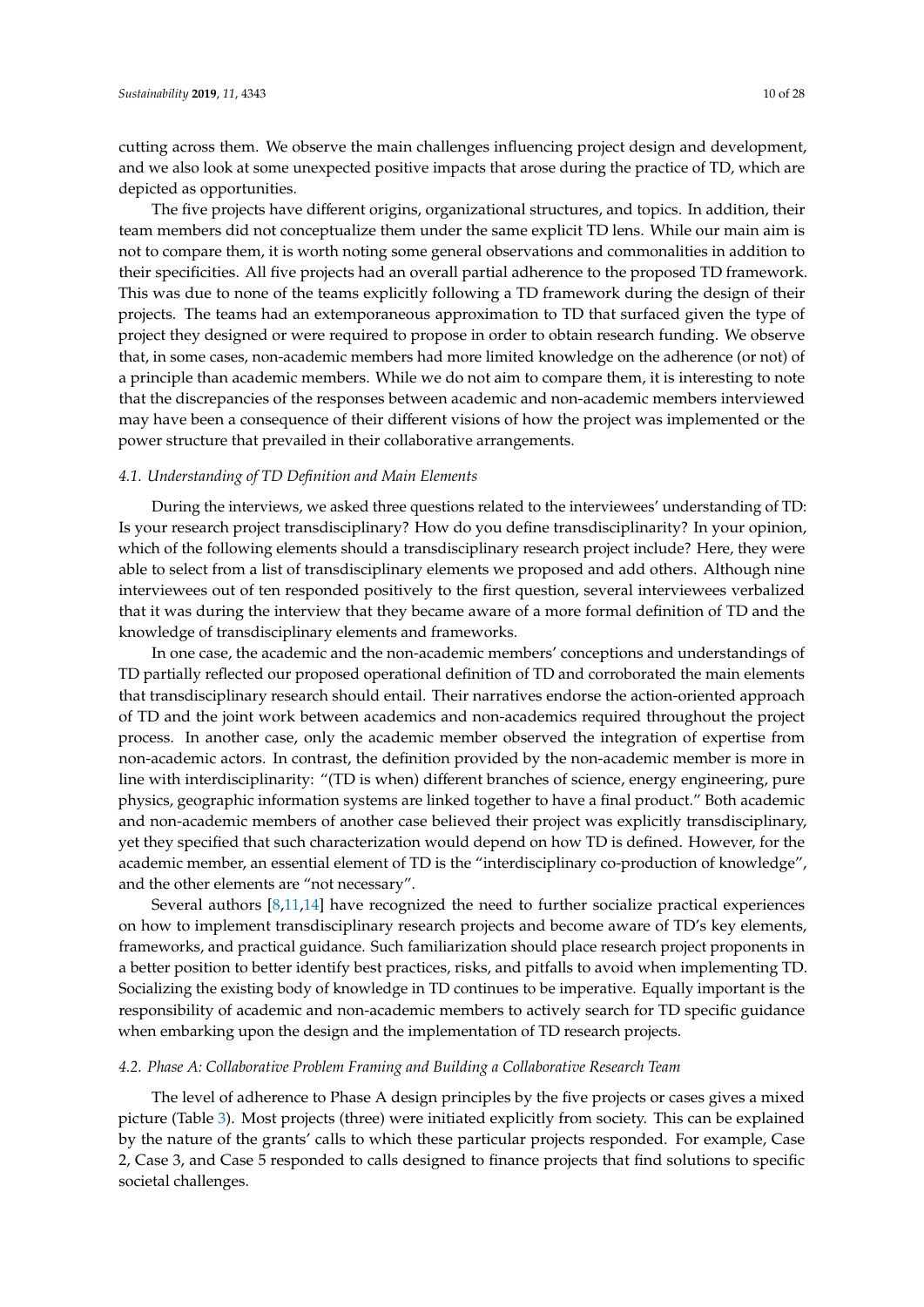cutting across them. We observe the main challenges influencing project design and development, and we also look at some unexpected positive impacts that arose during the practice of TD, which are depicted as opportunities.

The five projects have different origins, organizational structures, and topics. In addition, their team members did not conceptualize them under the same explicit TD lens. While our main aim is not to compare them, it is worth noting some general observations and commonalities in addition to their specificities. All five projects had an overall partial adherence to the proposed TD framework. This was due to none of the teams explicitly following a TD framework during the design of their projects. The teams had an extemporaneous approximation to TD that surfaced given the type of project they designed or were required to propose in order to obtain research funding. We observe that, in some cases, non-academic members had more limited knowledge on the adherence (or not) of a principle than academic members. While we do not aim to compare them, it is interesting to note that the discrepancies of the responses between academic and non-academic members interviewed may have been a consequence of their different visions of how the project was implemented or the power structure that prevailed in their collaborative arrangements.

# *4.1. Understanding of TD Definition and Main Elements*

During the interviews, we asked three questions related to the interviewees' understanding of TD: Is your research project transdisciplinary? How do you define transdisciplinarity? In your opinion, which of the following elements should a transdisciplinary research project include? Here, they were able to select from a list of transdisciplinary elements we proposed and add others. Although nine interviewees out of ten responded positively to the first question, several interviewees verbalized that it was during the interview that they became aware of a more formal definition of TD and the knowledge of transdisciplinary elements and frameworks.

In one case, the academic and the non-academic members' conceptions and understandings of TD partially reflected our proposed operational definition of TD and corroborated the main elements that transdisciplinary research should entail. Their narratives endorse the action-oriented approach of TD and the joint work between academics and non-academics required throughout the project process. In another case, only the academic member observed the integration of expertise from non-academic actors. In contrast, the definition provided by the non-academic member is more in line with interdisciplinarity: "(TD is when) different branches of science, energy engineering, pure physics, geographic information systems are linked together to have a final product." Both academic and non-academic members of another case believed their project was explicitly transdisciplinary, yet they specified that such characterization would depend on how TD is defined. However, for the academic member, an essential element of TD is the "interdisciplinary co-production of knowledge", and the other elements are "not necessary".

Several authors [\[8,](#page-24-4)[11,](#page-24-8)[14\]](#page-24-9) have recognized the need to further socialize practical experiences on how to implement transdisciplinary research projects and become aware of TD's key elements, frameworks, and practical guidance. Such familiarization should place research project proponents in a better position to better identify best practices, risks, and pitfalls to avoid when implementing TD. Socializing the existing body of knowledge in TD continues to be imperative. Equally important is the responsibility of academic and non-academic members to actively search for TD specific guidance when embarking upon the design and the implementation of TD research projects.

# *4.2. Phase A: Collaborative Problem Framing and Building a Collaborative Research Team*

The level of adherence to Phase A design principles by the five projects or cases gives a mixed picture (Table [3\)](#page-11-0). Most projects (three) were initiated explicitly from society. This can be explained by the nature of the grants' calls to which these particular projects responded. For example, Case 2, Case 3, and Case 5 responded to calls designed to finance projects that find solutions to specific societal challenges.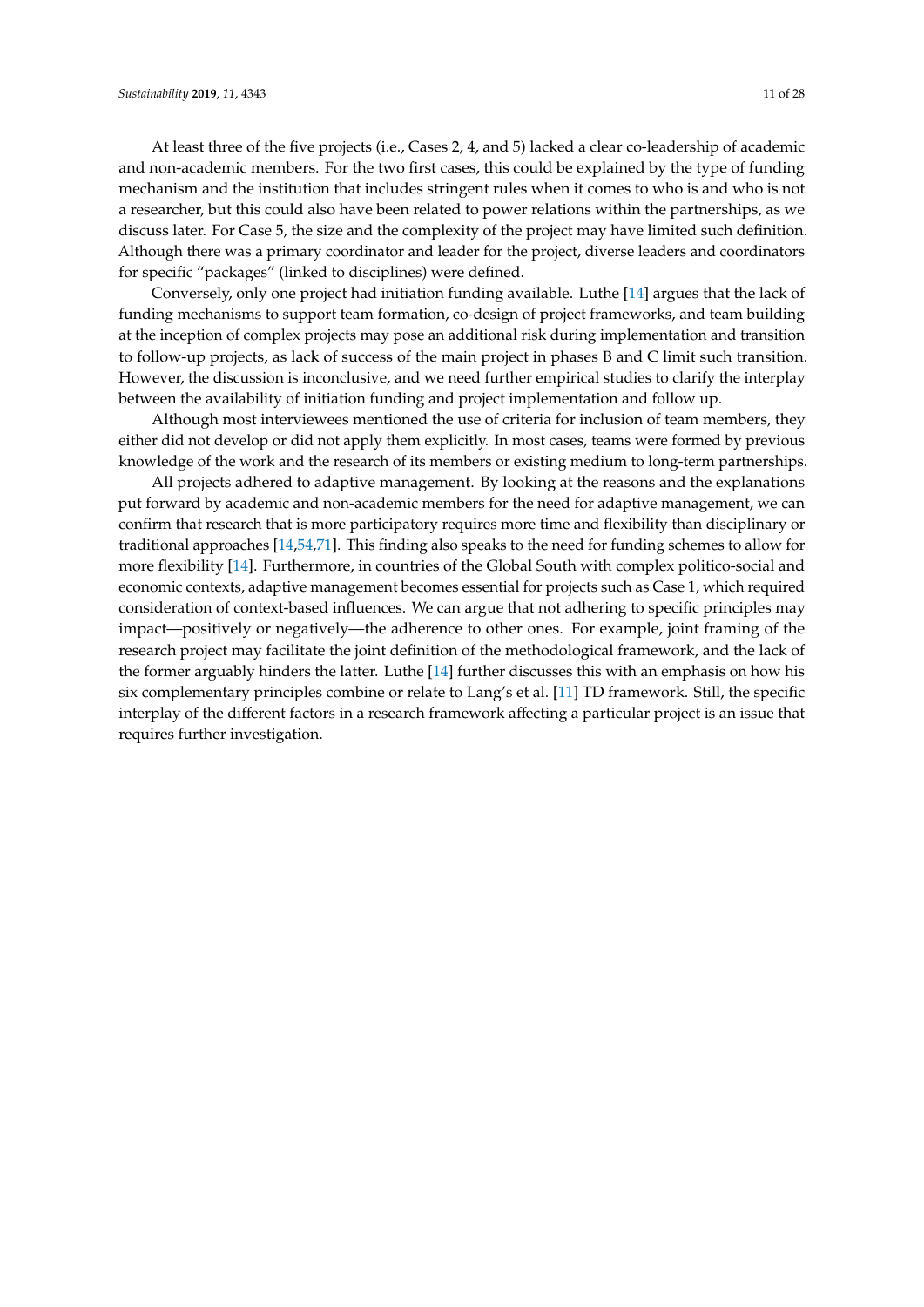At least three of the five projects (i.e., Cases 2, 4, and 5) lacked a clear co-leadership of academic and non-academic members. For the two first cases, this could be explained by the type of funding mechanism and the institution that includes stringent rules when it comes to who is and who is not a researcher, but this could also have been related to power relations within the partnerships, as we discuss later. For Case 5, the size and the complexity of the project may have limited such definition. Although there was a primary coordinator and leader for the project, diverse leaders and coordinators for specific "packages" (linked to disciplines) were defined.

Conversely, only one project had initiation funding available. Luthe [\[14\]](#page-24-9) argues that the lack of funding mechanisms to support team formation, co-design of project frameworks, and team building at the inception of complex projects may pose an additional risk during implementation and transition to follow-up projects, as lack of success of the main project in phases B and C limit such transition. However, the discussion is inconclusive, and we need further empirical studies to clarify the interplay between the availability of initiation funding and project implementation and follow up.

Although most interviewees mentioned the use of criteria for inclusion of team members, they either did not develop or did not apply them explicitly. In most cases, teams were formed by previous knowledge of the work and the research of its members or existing medium to long-term partnerships.

All projects adhered to adaptive management. By looking at the reasons and the explanations put forward by academic and non-academic members for the need for adaptive management, we can confirm that research that is more participatory requires more time and flexibility than disciplinary or traditional approaches [\[14,](#page-24-9)[54,](#page-26-4)[71\]](#page-26-19). This finding also speaks to the need for funding schemes to allow for more flexibility [\[14\]](#page-24-9). Furthermore, in countries of the Global South with complex politico-social and economic contexts, adaptive management becomes essential for projects such as Case 1, which required consideration of context-based influences. We can argue that not adhering to specific principles may impact—positively or negatively—the adherence to other ones. For example, joint framing of the research project may facilitate the joint definition of the methodological framework, and the lack of the former arguably hinders the latter. Luthe [\[14\]](#page-24-9) further discusses this with an emphasis on how his six complementary principles combine or relate to Lang's et al. [\[11\]](#page-24-8) TD framework. Still, the specific interplay of the different factors in a research framework affecting a particular project is an issue that requires further investigation.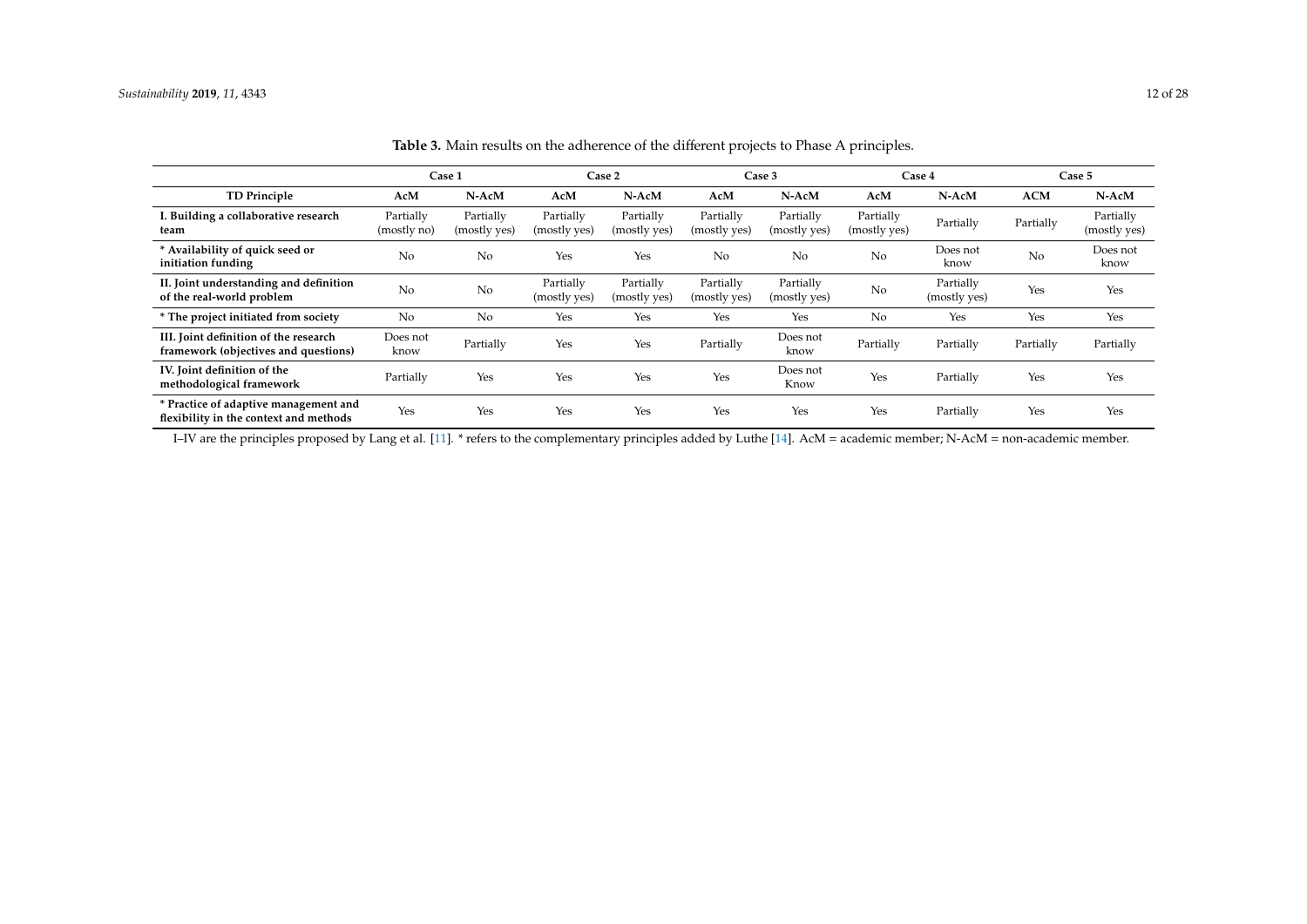|                                                                                 |                          | Case 1                    |                           | Case 2                    |                           | Case 3                    | Case 4                    |                           | Case 5     |                           |
|---------------------------------------------------------------------------------|--------------------------|---------------------------|---------------------------|---------------------------|---------------------------|---------------------------|---------------------------|---------------------------|------------|---------------------------|
| <b>TD</b> Principle                                                             | AcM                      | $N-AcM$                   | AcM                       | $N-AcM$                   | AcM                       | $N-AcM$                   | AcM                       | $N-AcM$                   | <b>ACM</b> | $N-AcM$                   |
| I. Building a collaborative research<br>team                                    | Partially<br>(mostly no) | Partially<br>(mostly yes) | Partially<br>(mostly yes) | Partially<br>(mostly yes) | Partially<br>(mostly yes) | Partially<br>(mostly yes) | Partially<br>(mostly yes) | Partially                 | Partially  | Partially<br>(mostly yes) |
| * Availability of quick seed or<br>initiation funding                           | No                       | No                        | Yes                       | Yes                       | N <sub>o</sub>            | N <sub>o</sub>            | No                        | Does not<br>know          | No         | Does not<br>know          |
| II. Joint understanding and definition<br>of the real-world problem             | No                       | No                        | Partially<br>(mostly yes) | Partially<br>(mostly yes) | Partially<br>(mostly yes) | Partially<br>(mostly yes) | No                        | Partially<br>(mostly yes) | Yes        | Yes                       |
| * The project initiated from society                                            | N <sub>o</sub>           | N <sub>o</sub>            | Yes                       | Yes                       | Yes                       | Yes                       | No                        | Yes                       | Yes        | Yes                       |
| III. Joint definition of the research<br>framework (objectives and questions)   | Does not<br>know         | Partially                 | Yes                       | Yes                       | Partially                 | Does not<br>know          | Partially                 | Partially                 | Partially  | Partially                 |
| IV. Joint definition of the<br>methodological framework                         | Partially                | Yes                       | Yes                       | Yes                       | Yes                       | Does not<br>Know          | Yes                       | Partially                 | Yes        | Yes                       |
| * Practice of adaptive management and<br>flexibility in the context and methods | Yes                      | Yes                       | Yes                       | Yes                       | Yes                       | Yes                       | Yes                       | Partially                 | Yes        | Yes                       |

| Table 3. Main results on the adherence of the different projects to Phase A principles. |  |  |  |  |  |
|-----------------------------------------------------------------------------------------|--|--|--|--|--|
|                                                                                         |  |  |  |  |  |

<span id="page-11-0"></span>I–IV are the principles proposed by Lang et al. [\[11\]](#page-24-21). \* refers to the complementary principles added by Luthe [\[14\]](#page-24-22). AcM = academic member; N-AcM = non-academic member.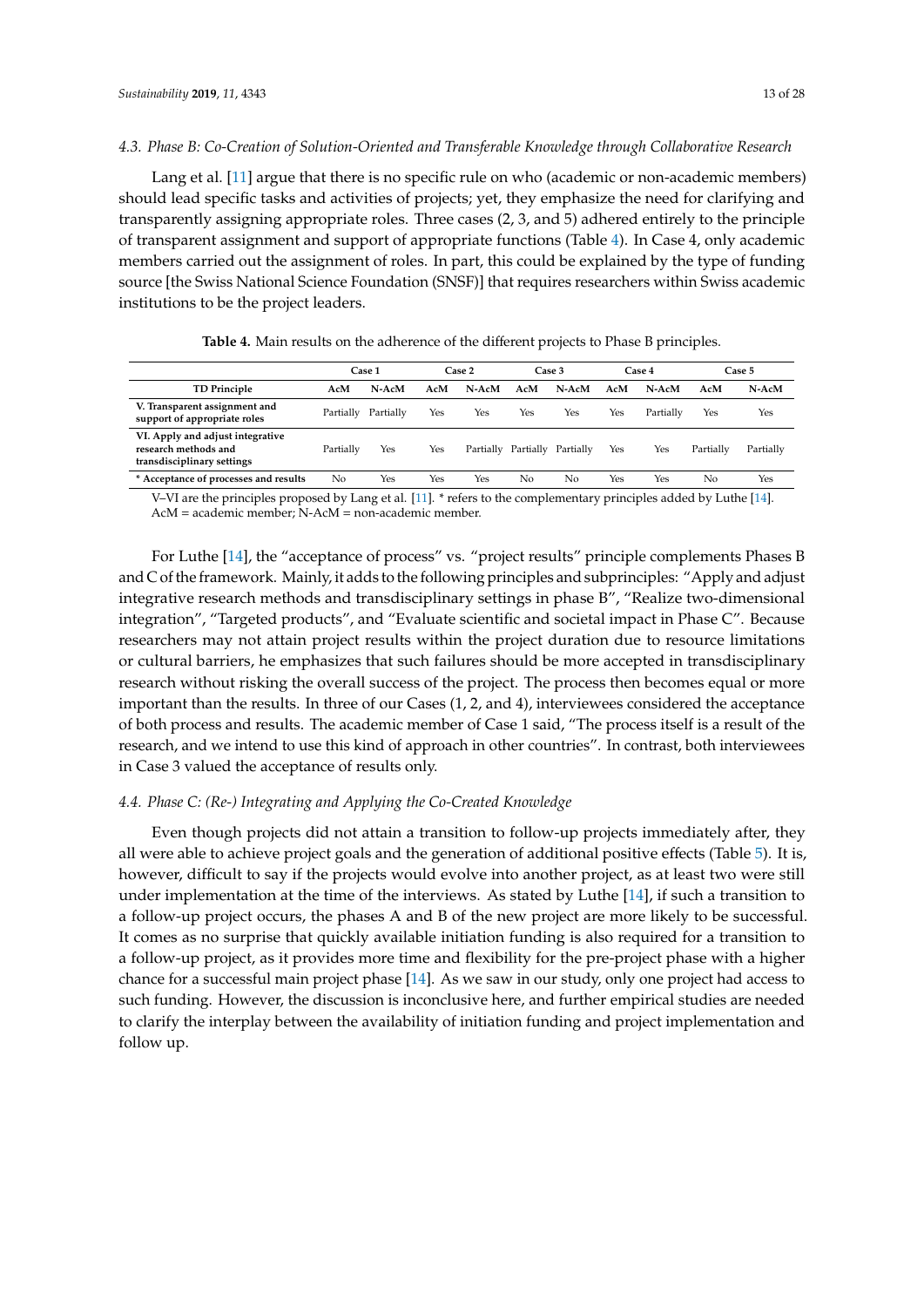Lang et al. [\[11\]](#page-24-8) argue that there is no specific rule on who (academic or non-academic members) should lead specific tasks and activities of projects; yet, they emphasize the need for clarifying and transparently assigning appropriate roles. Three cases (2, 3, and 5) adhered entirely to the principle of transparent assignment and support of appropriate functions (Table [4\)](#page-12-0). In Case 4, only academic members carried out the assignment of roles. In part, this could be explained by the type of funding source [the Swiss National Science Foundation (SNSF)] that requires researchers within Swiss academic institutions to be the project leaders.

<span id="page-12-0"></span>

|                                                                                        | Case 1    |           | Case 2 |           | Case 3              |         | Case 4 |           | Case 5    |           |
|----------------------------------------------------------------------------------------|-----------|-----------|--------|-----------|---------------------|---------|--------|-----------|-----------|-----------|
| <b>TD</b> Principle                                                                    | AcM       | $N-AcM$   | AcM    | $N-AcM$   | AcM                 | $N-AcM$ | AcM    | $N-AcM$   | AcM       | $N-AcM$   |
| V. Transparent assignment and<br>support of appropriate roles                          | Partially | Partially | Yes    | Yes       | Yes                 | Yes     | Yes    | Partially | Yes       | Yes       |
| VI. Apply and adjust integrative<br>research methods and<br>transdisciplinary settings | Partially | Yes       | Yes    | Partially | Partially Partially |         | Yes    | Yes       | Partially | Partially |
| * Acceptance of processes and results                                                  | No        | Yes       | Yes    | Yes       | No                  | No      | Yes    | Yes       | No        | Yes       |

**Table 4.** Main results on the adherence of the different projects to Phase B principles.

V–VI are the principles proposed by Lang et al. [\[11\]](#page-24-8). \* refers to the complementary principles added by Luthe [\[14\]](#page-24-9). AcM = academic member; N-AcM = non-academic member.

For Luthe [\[14\]](#page-24-9), the "acceptance of process" vs. "project results" principle complements Phases B and C of the framework. Mainly, it adds to the following principles and subprinciples: "Apply and adjust integrative research methods and transdisciplinary settings in phase B", "Realize two-dimensional integration", "Targeted products", and "Evaluate scientific and societal impact in Phase C". Because researchers may not attain project results within the project duration due to resource limitations or cultural barriers, he emphasizes that such failures should be more accepted in transdisciplinary research without risking the overall success of the project. The process then becomes equal or more important than the results. In three of our Cases (1, 2, and 4), interviewees considered the acceptance of both process and results. The academic member of Case 1 said, "The process itself is a result of the research, and we intend to use this kind of approach in other countries". In contrast, both interviewees in Case 3 valued the acceptance of results only.

# *4.4. Phase C: (Re-) Integrating and Applying the Co-Created Knowledge*

Even though projects did not attain a transition to follow-up projects immediately after, they all were able to achieve project goals and the generation of additional positive effects (Table [5\)](#page-13-0). It is, however, difficult to say if the projects would evolve into another project, as at least two were still under implementation at the time of the interviews. As stated by Luthe [\[14\]](#page-24-9), if such a transition to a follow-up project occurs, the phases A and B of the new project are more likely to be successful. It comes as no surprise that quickly available initiation funding is also required for a transition to a follow-up project, as it provides more time and flexibility for the pre-project phase with a higher chance for a successful main project phase [\[14\]](#page-24-9). As we saw in our study, only one project had access to such funding. However, the discussion is inconclusive here, and further empirical studies are needed to clarify the interplay between the availability of initiation funding and project implementation and follow up.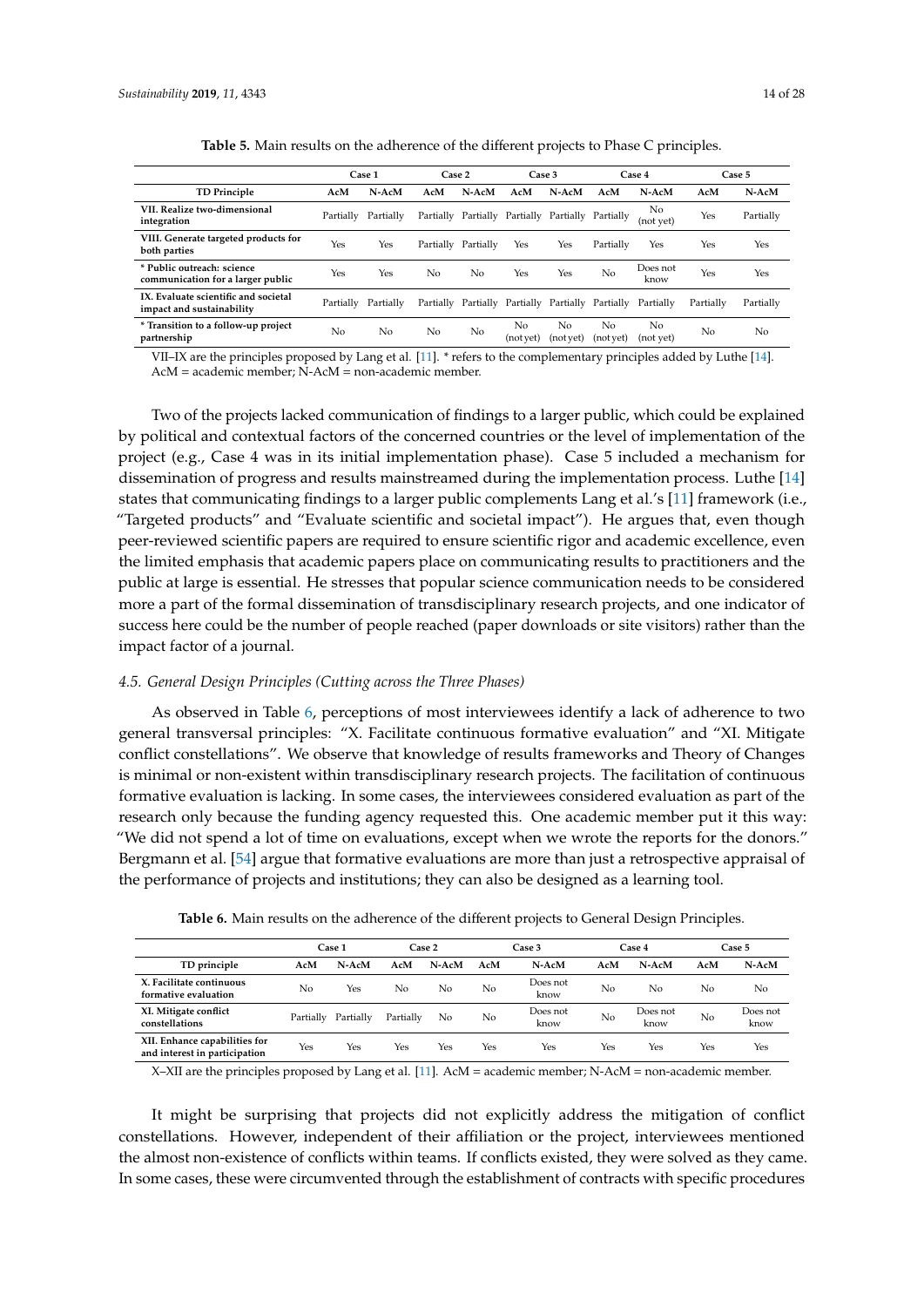| Table 5. Main results on the adherence of the different projects to Phase C principles. |  |  |  |
|-----------------------------------------------------------------------------------------|--|--|--|
|-----------------------------------------------------------------------------------------|--|--|--|

<span id="page-13-0"></span>

|                                                                   | Case 1    |           | Case 2    |           | Case 3          |                 | Case 4          |                  | Case 5    |           |
|-------------------------------------------------------------------|-----------|-----------|-----------|-----------|-----------------|-----------------|-----------------|------------------|-----------|-----------|
| <b>TD Principle</b>                                               | AcM       | $N-AcM$   | AcM       | $N-AcM$   | AcM             | $N-AcM$         | AcM             | $N-AcM$          | AcM       | $N-AcM$   |
| VII. Realize two-dimensional<br>integration                       | Partially | Partially | Partially | Partially | Partially       | Partially       | Partially       | No<br>(not vet)  | Yes       | Partially |
| VIII. Generate targeted products for<br>both parties              | Yes       | Yes       | Partially | Partially | Yes             | Yes             | Partially       | Yes              | Yes       | Yes       |
| * Public outreach: science<br>communication for a larger public   | Yes       | Yes       | No        | No        | Yes             | Yes             | No              | Does not<br>know | Yes       | Yes       |
| IX. Evaluate scientific and societal<br>impact and sustainability | Partially | Partially | Partially | Partially | Partially       | Partially       | Partially       | Partially        | Partially | Partially |
| * Transition to a follow-up project<br>partnership                | No        | No        | No        | No        | No<br>(not vet) | No<br>(not vet) | No<br>(not yet) | No<br>(not vet)  | No        | No        |

VII–IX are the principles proposed by Lang et al. [\[11\]](#page-24-8). \* refers to the complementary principles added by Luthe [\[14\]](#page-24-9). AcM = academic member; N-AcM = non-academic member.

Two of the projects lacked communication of findings to a larger public, which could be explained by political and contextual factors of the concerned countries or the level of implementation of the project (e.g., Case 4 was in its initial implementation phase). Case 5 included a mechanism for dissemination of progress and results mainstreamed during the implementation process. Luthe [\[14\]](#page-24-9) states that communicating findings to a larger public complements Lang et al.'s [\[11\]](#page-24-8) framework (i.e., "Targeted products" and "Evaluate scientific and societal impact"). He argues that, even though peer-reviewed scientific papers are required to ensure scientific rigor and academic excellence, even the limited emphasis that academic papers place on communicating results to practitioners and the public at large is essential. He stresses that popular science communication needs to be considered more a part of the formal dissemination of transdisciplinary research projects, and one indicator of success here could be the number of people reached (paper downloads or site visitors) rather than the impact factor of a journal.

## *4.5. General Design Principles (Cutting across the Three Phases)*

As observed in Table [6,](#page-13-1) perceptions of most interviewees identify a lack of adherence to two general transversal principles: "X. Facilitate continuous formative evaluation" and "XI. Mitigate conflict constellations". We observe that knowledge of results frameworks and Theory of Changes is minimal or non-existent within transdisciplinary research projects. The facilitation of continuous formative evaluation is lacking. In some cases, the interviewees considered evaluation as part of the research only because the funding agency requested this. One academic member put it this way: "We did not spend a lot of time on evaluations, except when we wrote the reports for the donors." Bergmann et al. [\[54\]](#page-26-4) argue that formative evaluations are more than just a retrospective appraisal of the performance of projects and institutions; they can also be designed as a learning tool.

<span id="page-13-1"></span>

|                                                                |           | Case 1<br>Case 2 |           | Case 3  |     | Case 4           |                | Case 5           |     |                  |
|----------------------------------------------------------------|-----------|------------------|-----------|---------|-----|------------------|----------------|------------------|-----|------------------|
| TD principle                                                   | AcM       | $N-AcM$          | AcM       | $N-AcM$ | AcM | $N-AcM$          | AcM            | $N-AcM$          | AcM | N-AcM            |
| X. Facilitate continuous<br>formative evaluation               | No        | Yes              | No        | No      | No  | Does not<br>know | No             | No               | No  | No               |
| XI. Mitigate conflict<br>constellations                        | Partially | Partially        | Partially | No      | No  | Does not<br>know | N <sub>o</sub> | Does not<br>know | No  | Does not<br>know |
| XII. Enhance capabilities for<br>and interest in participation | Yes       | Yes              | Yes       | Yes     | Yes | Yes              | Yes            | Yes              | Yes | Yes              |

**Table 6.** Main results on the adherence of the different projects to General Design Principles.

X–XII are the principles proposed by Lang et al. [\[11\]](#page-24-8). AcM = academic member; N-AcM = non-academic member.

It might be surprising that projects did not explicitly address the mitigation of conflict constellations. However, independent of their affiliation or the project, interviewees mentioned the almost non-existence of conflicts within teams. If conflicts existed, they were solved as they came. In some cases, these were circumvented through the establishment of contracts with specific procedures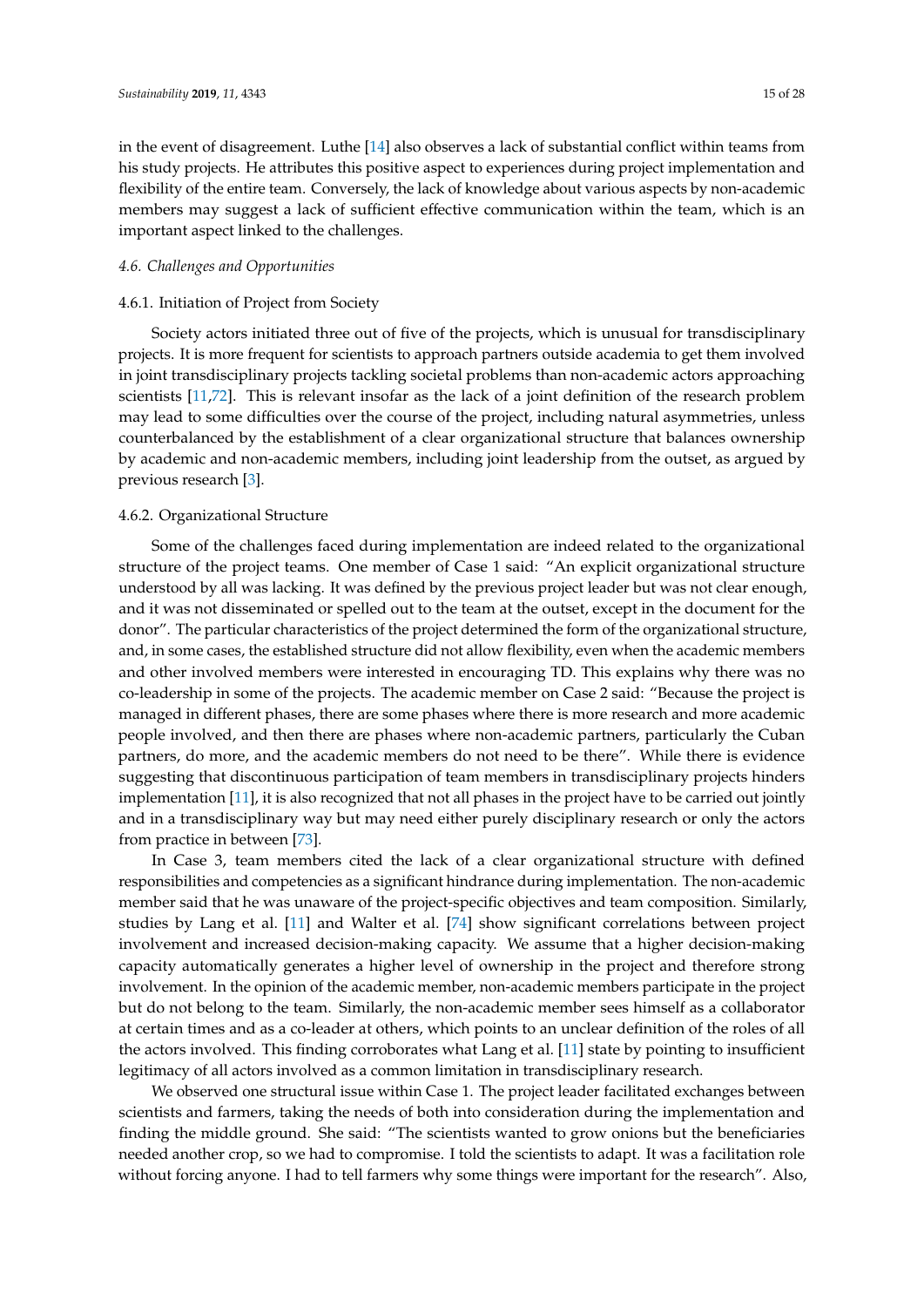in the event of disagreement. Luthe [\[14\]](#page-24-9) also observes a lack of substantial conflict within teams from his study projects. He attributes this positive aspect to experiences during project implementation and flexibility of the entire team. Conversely, the lack of knowledge about various aspects by non-academic members may suggest a lack of sufficient effective communication within the team, which is an important aspect linked to the challenges.

# *4.6. Challenges and Opportunities*

## 4.6.1. Initiation of Project from Society

Society actors initiated three out of five of the projects, which is unusual for transdisciplinary projects. It is more frequent for scientists to approach partners outside academia to get them involved in joint transdisciplinary projects tackling societal problems than non-academic actors approaching scientists [\[11,](#page-24-8)[72\]](#page-27-0). This is relevant insofar as the lack of a joint definition of the research problem may lead to some difficulties over the course of the project, including natural asymmetries, unless counterbalanced by the establishment of a clear organizational structure that balances ownership by academic and non-academic members, including joint leadership from the outset, as argued by previous research [\[3\]](#page-24-0).

# 4.6.2. Organizational Structure

Some of the challenges faced during implementation are indeed related to the organizational structure of the project teams. One member of Case 1 said: "An explicit organizational structure understood by all was lacking. It was defined by the previous project leader but was not clear enough, and it was not disseminated or spelled out to the team at the outset, except in the document for the donor". The particular characteristics of the project determined the form of the organizational structure, and, in some cases, the established structure did not allow flexibility, even when the academic members and other involved members were interested in encouraging TD. This explains why there was no co-leadership in some of the projects. The academic member on Case 2 said: "Because the project is managed in different phases, there are some phases where there is more research and more academic people involved, and then there are phases where non-academic partners, particularly the Cuban partners, do more, and the academic members do not need to be there". While there is evidence suggesting that discontinuous participation of team members in transdisciplinary projects hinders implementation [\[11\]](#page-24-8), it is also recognized that not all phases in the project have to be carried out jointly and in a transdisciplinary way but may need either purely disciplinary research or only the actors from practice in between [\[73\]](#page-27-1).

In Case 3, team members cited the lack of a clear organizational structure with defined responsibilities and competencies as a significant hindrance during implementation. The non-academic member said that he was unaware of the project-specific objectives and team composition. Similarly, studies by Lang et al. [\[11\]](#page-24-8) and Walter et al. [\[74\]](#page-27-2) show significant correlations between project involvement and increased decision-making capacity. We assume that a higher decision-making capacity automatically generates a higher level of ownership in the project and therefore strong involvement. In the opinion of the academic member, non-academic members participate in the project but do not belong to the team. Similarly, the non-academic member sees himself as a collaborator at certain times and as a co-leader at others, which points to an unclear definition of the roles of all the actors involved. This finding corroborates what Lang et al. [\[11\]](#page-24-8) state by pointing to insufficient legitimacy of all actors involved as a common limitation in transdisciplinary research.

We observed one structural issue within Case 1. The project leader facilitated exchanges between scientists and farmers, taking the needs of both into consideration during the implementation and finding the middle ground. She said: "The scientists wanted to grow onions but the beneficiaries needed another crop, so we had to compromise. I told the scientists to adapt. It was a facilitation role without forcing anyone. I had to tell farmers why some things were important for the research". Also,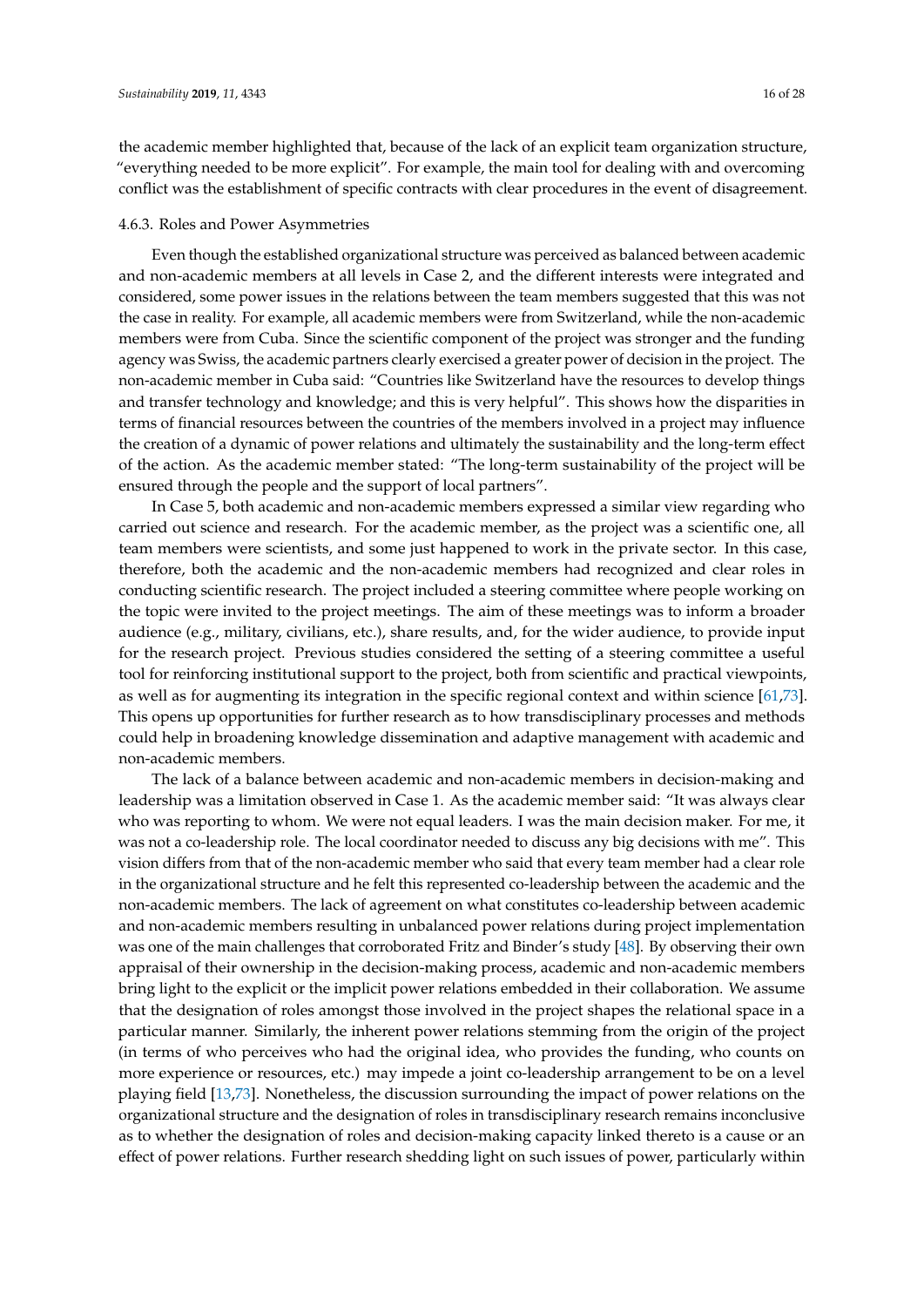the academic member highlighted that, because of the lack of an explicit team organization structure, "everything needed to be more explicit". For example, the main tool for dealing with and overcoming conflict was the establishment of specific contracts with clear procedures in the event of disagreement.

### 4.6.3. Roles and Power Asymmetries

Even though the established organizational structure was perceived as balanced between academic and non-academic members at all levels in Case 2, and the different interests were integrated and considered, some power issues in the relations between the team members suggested that this was not the case in reality. For example, all academic members were from Switzerland, while the non-academic members were from Cuba. Since the scientific component of the project was stronger and the funding agency was Swiss, the academic partners clearly exercised a greater power of decision in the project. The non-academic member in Cuba said: "Countries like Switzerland have the resources to develop things and transfer technology and knowledge; and this is very helpful". This shows how the disparities in terms of financial resources between the countries of the members involved in a project may influence the creation of a dynamic of power relations and ultimately the sustainability and the long-term effect of the action. As the academic member stated: "The long-term sustainability of the project will be ensured through the people and the support of local partners".

In Case 5, both academic and non-academic members expressed a similar view regarding who carried out science and research. For the academic member, as the project was a scientific one, all team members were scientists, and some just happened to work in the private sector. In this case, therefore, both the academic and the non-academic members had recognized and clear roles in conducting scientific research. The project included a steering committee where people working on the topic were invited to the project meetings. The aim of these meetings was to inform a broader audience (e.g., military, civilians, etc.), share results, and, for the wider audience, to provide input for the research project. Previous studies considered the setting of a steering committee a useful tool for reinforcing institutional support to the project, both from scientific and practical viewpoints, as well as for augmenting its integration in the specific regional context and within science [\[61,](#page-26-10)[73\]](#page-27-1). This opens up opportunities for further research as to how transdisciplinary processes and methods could help in broadening knowledge dissemination and adaptive management with academic and non-academic members.

The lack of a balance between academic and non-academic members in decision-making and leadership was a limitation observed in Case 1. As the academic member said: "It was always clear who was reporting to whom. We were not equal leaders. I was the main decision maker. For me, it was not a co-leadership role. The local coordinator needed to discuss any big decisions with me". This vision differs from that of the non-academic member who said that every team member had a clear role in the organizational structure and he felt this represented co-leadership between the academic and the non-academic members. The lack of agreement on what constitutes co-leadership between academic and non-academic members resulting in unbalanced power relations during project implementation was one of the main challenges that corroborated Fritz and Binder's study [\[48\]](#page-25-22). By observing their own appraisal of their ownership in the decision-making process, academic and non-academic members bring light to the explicit or the implicit power relations embedded in their collaboration. We assume that the designation of roles amongst those involved in the project shapes the relational space in a particular manner. Similarly, the inherent power relations stemming from the origin of the project (in terms of who perceives who had the original idea, who provides the funding, who counts on more experience or resources, etc.) may impede a joint co-leadership arrangement to be on a level playing field [\[13,](#page-24-7)[73\]](#page-27-1). Nonetheless, the discussion surrounding the impact of power relations on the organizational structure and the designation of roles in transdisciplinary research remains inconclusive as to whether the designation of roles and decision-making capacity linked thereto is a cause or an effect of power relations. Further research shedding light on such issues of power, particularly within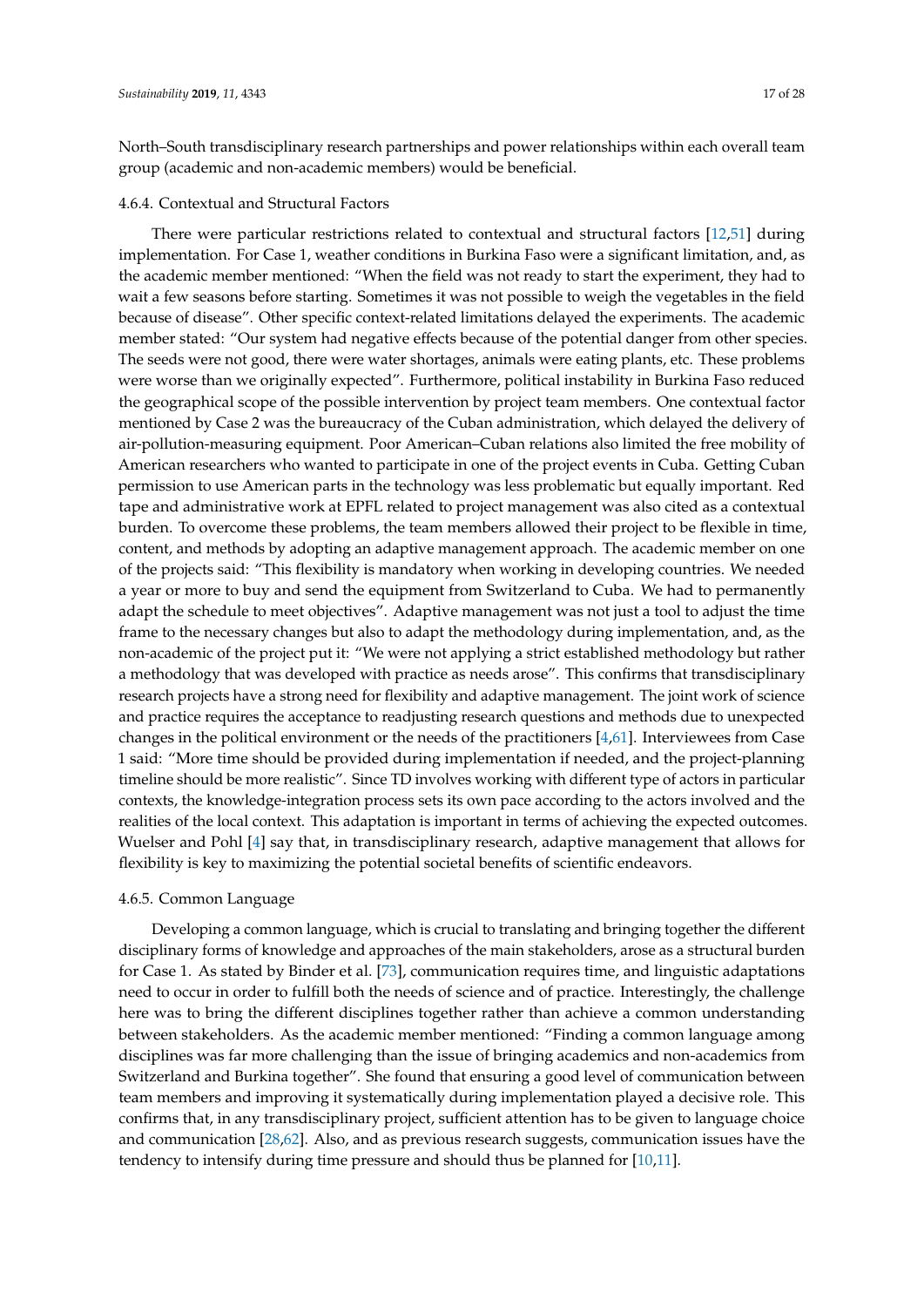North–South transdisciplinary research partnerships and power relationships within each overall team group (academic and non-academic members) would be beneficial.

# 4.6.4. Contextual and Structural Factors

There were particular restrictions related to contextual and structural factors [\[12](#page-24-19)[,51\]](#page-26-1) during implementation. For Case 1, weather conditions in Burkina Faso were a significant limitation, and, as the academic member mentioned: "When the field was not ready to start the experiment, they had to wait a few seasons before starting. Sometimes it was not possible to weigh the vegetables in the field because of disease". Other specific context-related limitations delayed the experiments. The academic member stated: "Our system had negative effects because of the potential danger from other species. The seeds were not good, there were water shortages, animals were eating plants, etc. These problems were worse than we originally expected". Furthermore, political instability in Burkina Faso reduced the geographical scope of the possible intervention by project team members. One contextual factor mentioned by Case 2 was the bureaucracy of the Cuban administration, which delayed the delivery of air-pollution-measuring equipment. Poor American–Cuban relations also limited the free mobility of American researchers who wanted to participate in one of the project events in Cuba. Getting Cuban permission to use American parts in the technology was less problematic but equally important. Red tape and administrative work at EPFL related to project management was also cited as a contextual burden. To overcome these problems, the team members allowed their project to be flexible in time, content, and methods by adopting an adaptive management approach. The academic member on one of the projects said: "This flexibility is mandatory when working in developing countries. We needed a year or more to buy and send the equipment from Switzerland to Cuba. We had to permanently adapt the schedule to meet objectives". Adaptive management was not just a tool to adjust the time frame to the necessary changes but also to adapt the methodology during implementation, and, as the non-academic of the project put it: "We were not applying a strict established methodology but rather a methodology that was developed with practice as needs arose". This confirms that transdisciplinary research projects have a strong need for flexibility and adaptive management. The joint work of science and practice requires the acceptance to readjusting research questions and methods due to unexpected changes in the political environment or the needs of the practitioners [\[4](#page-24-1)[,61\]](#page-26-10). Interviewees from Case 1 said: "More time should be provided during implementation if needed, and the project-planning timeline should be more realistic". Since TD involves working with different type of actors in particular contexts, the knowledge-integration process sets its own pace according to the actors involved and the realities of the local context. This adaptation is important in terms of achieving the expected outcomes. Wuelser and Pohl [\[4\]](#page-24-1) say that, in transdisciplinary research, adaptive management that allows for flexibility is key to maximizing the potential societal benefits of scientific endeavors.

## 4.6.5. Common Language

Developing a common language, which is crucial to translating and bringing together the different disciplinary forms of knowledge and approaches of the main stakeholders, arose as a structural burden for Case 1. As stated by Binder et al. [\[73\]](#page-27-1), communication requires time, and linguistic adaptations need to occur in order to fulfill both the needs of science and of practice. Interestingly, the challenge here was to bring the different disciplines together rather than achieve a common understanding between stakeholders. As the academic member mentioned: "Finding a common language among disciplines was far more challenging than the issue of bringing academics and non-academics from Switzerland and Burkina together". She found that ensuring a good level of communication between team members and improving it systematically during implementation played a decisive role. This confirms that, in any transdisciplinary project, sufficient attention has to be given to language choice and communication [\[28](#page-25-2)[,62\]](#page-26-11). Also, and as previous research suggests, communication issues have the tendency to intensify during time pressure and should thus be planned for [\[10,](#page-24-6)[11\]](#page-24-8).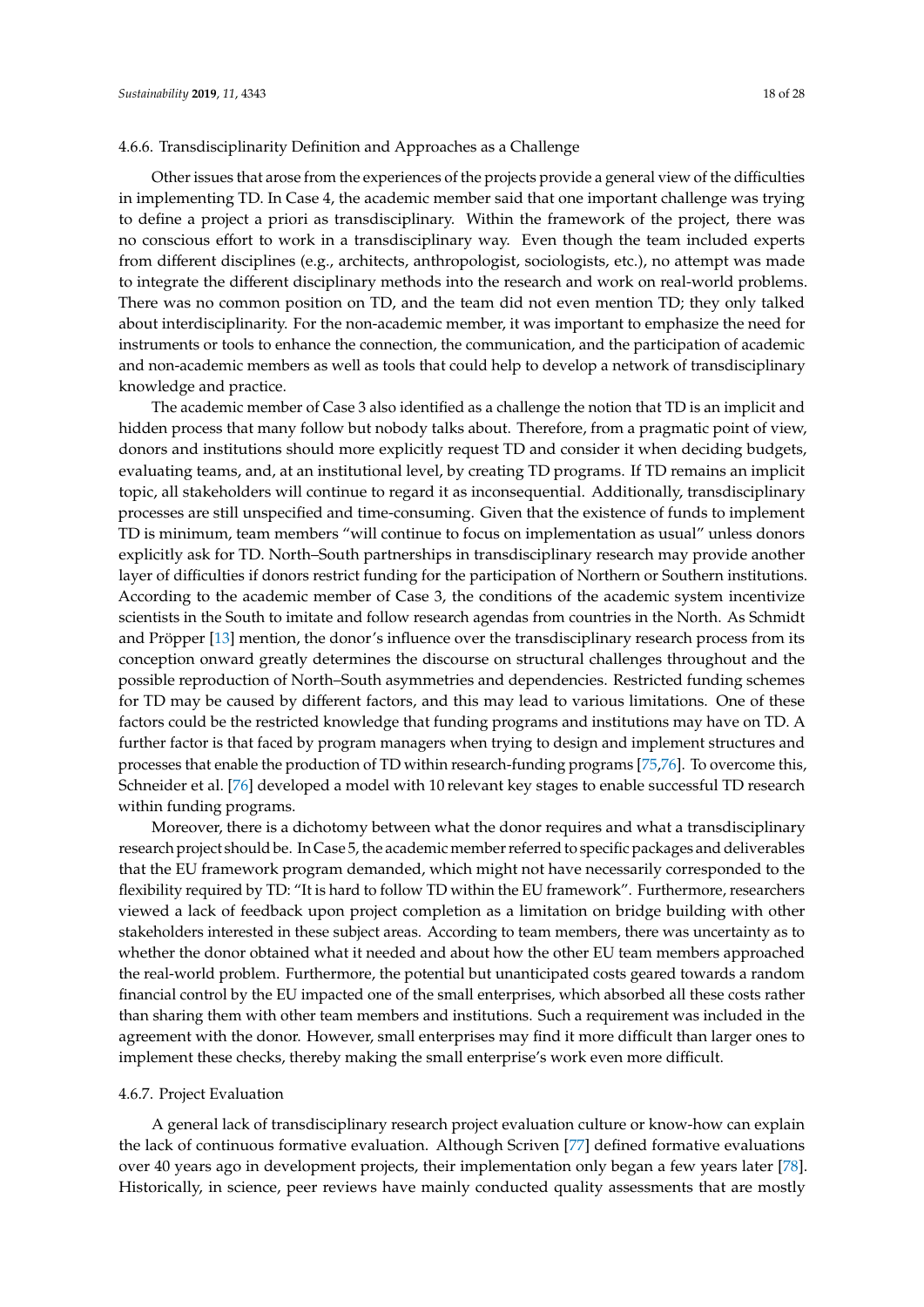# 4.6.6. Transdisciplinarity Definition and Approaches as a Challenge

Other issues that arose from the experiences of the projects provide a general view of the difficulties in implementing TD. In Case 4, the academic member said that one important challenge was trying to define a project a priori as transdisciplinary. Within the framework of the project, there was no conscious effort to work in a transdisciplinary way. Even though the team included experts from different disciplines (e.g., architects, anthropologist, sociologists, etc.), no attempt was made to integrate the different disciplinary methods into the research and work on real-world problems. There was no common position on TD, and the team did not even mention TD; they only talked about interdisciplinarity. For the non-academic member, it was important to emphasize the need for instruments or tools to enhance the connection, the communication, and the participation of academic and non-academic members as well as tools that could help to develop a network of transdisciplinary knowledge and practice.

The academic member of Case 3 also identified as a challenge the notion that TD is an implicit and hidden process that many follow but nobody talks about. Therefore, from a pragmatic point of view, donors and institutions should more explicitly request TD and consider it when deciding budgets, evaluating teams, and, at an institutional level, by creating TD programs. If TD remains an implicit topic, all stakeholders will continue to regard it as inconsequential. Additionally, transdisciplinary processes are still unspecified and time-consuming. Given that the existence of funds to implement TD is minimum, team members "will continue to focus on implementation as usual" unless donors explicitly ask for TD. North–South partnerships in transdisciplinary research may provide another layer of difficulties if donors restrict funding for the participation of Northern or Southern institutions. According to the academic member of Case 3, the conditions of the academic system incentivize scientists in the South to imitate and follow research agendas from countries in the North. As Schmidt and Pröpper [\[13\]](#page-24-7) mention, the donor's influence over the transdisciplinary research process from its conception onward greatly determines the discourse on structural challenges throughout and the possible reproduction of North–South asymmetries and dependencies. Restricted funding schemes for TD may be caused by different factors, and this may lead to various limitations. One of these factors could be the restricted knowledge that funding programs and institutions may have on TD. A further factor is that faced by program managers when trying to design and implement structures and processes that enable the production of TD within research-funding programs [\[75,](#page-27-3)[76\]](#page-27-4). To overcome this, Schneider et al. [\[76\]](#page-27-4) developed a model with 10 relevant key stages to enable successful TD research within funding programs.

Moreover, there is a dichotomy between what the donor requires and what a transdisciplinary research project should be. In Case 5, the academic member referred to specific packages and deliverables that the EU framework program demanded, which might not have necessarily corresponded to the flexibility required by TD: "It is hard to follow TD within the EU framework". Furthermore, researchers viewed a lack of feedback upon project completion as a limitation on bridge building with other stakeholders interested in these subject areas. According to team members, there was uncertainty as to whether the donor obtained what it needed and about how the other EU team members approached the real-world problem. Furthermore, the potential but unanticipated costs geared towards a random financial control by the EU impacted one of the small enterprises, which absorbed all these costs rather than sharing them with other team members and institutions. Such a requirement was included in the agreement with the donor. However, small enterprises may find it more difficult than larger ones to implement these checks, thereby making the small enterprise's work even more difficult.

# 4.6.7. Project Evaluation

A general lack of transdisciplinary research project evaluation culture or know-how can explain the lack of continuous formative evaluation. Although Scriven [\[77\]](#page-27-5) defined formative evaluations over 40 years ago in development projects, their implementation only began a few years later [\[78\]](#page-27-6). Historically, in science, peer reviews have mainly conducted quality assessments that are mostly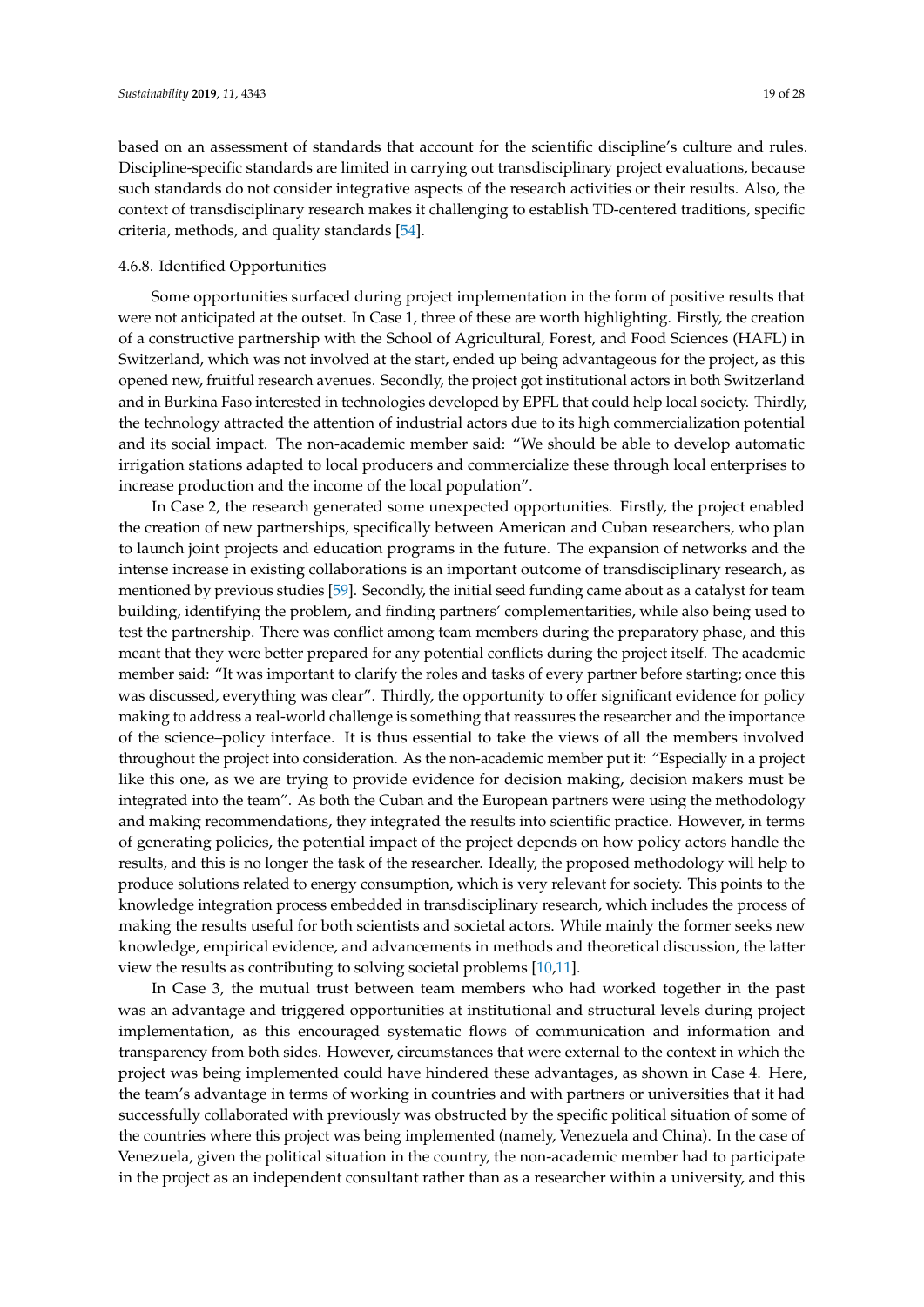based on an assessment of standards that account for the scientific discipline's culture and rules. Discipline-specific standards are limited in carrying out transdisciplinary project evaluations, because such standards do not consider integrative aspects of the research activities or their results. Also, the context of transdisciplinary research makes it challenging to establish TD-centered traditions, specific criteria, methods, and quality standards [\[54\]](#page-26-4).

# 4.6.8. Identified Opportunities

Some opportunities surfaced during project implementation in the form of positive results that were not anticipated at the outset. In Case 1, three of these are worth highlighting. Firstly, the creation of a constructive partnership with the School of Agricultural, Forest, and Food Sciences (HAFL) in Switzerland, which was not involved at the start, ended up being advantageous for the project, as this opened new, fruitful research avenues. Secondly, the project got institutional actors in both Switzerland and in Burkina Faso interested in technologies developed by EPFL that could help local society. Thirdly, the technology attracted the attention of industrial actors due to its high commercialization potential and its social impact. The non-academic member said: "We should be able to develop automatic irrigation stations adapted to local producers and commercialize these through local enterprises to increase production and the income of the local population".

In Case 2, the research generated some unexpected opportunities. Firstly, the project enabled the creation of new partnerships, specifically between American and Cuban researchers, who plan to launch joint projects and education programs in the future. The expansion of networks and the intense increase in existing collaborations is an important outcome of transdisciplinary research, as mentioned by previous studies [\[59\]](#page-26-8). Secondly, the initial seed funding came about as a catalyst for team building, identifying the problem, and finding partners' complementarities, while also being used to test the partnership. There was conflict among team members during the preparatory phase, and this meant that they were better prepared for any potential conflicts during the project itself. The academic member said: "It was important to clarify the roles and tasks of every partner before starting; once this was discussed, everything was clear". Thirdly, the opportunity to offer significant evidence for policy making to address a real-world challenge is something that reassures the researcher and the importance of the science–policy interface. It is thus essential to take the views of all the members involved throughout the project into consideration. As the non-academic member put it: "Especially in a project like this one, as we are trying to provide evidence for decision making, decision makers must be integrated into the team". As both the Cuban and the European partners were using the methodology and making recommendations, they integrated the results into scientific practice. However, in terms of generating policies, the potential impact of the project depends on how policy actors handle the results, and this is no longer the task of the researcher. Ideally, the proposed methodology will help to produce solutions related to energy consumption, which is very relevant for society. This points to the knowledge integration process embedded in transdisciplinary research, which includes the process of making the results useful for both scientists and societal actors. While mainly the former seeks new knowledge, empirical evidence, and advancements in methods and theoretical discussion, the latter view the results as contributing to solving societal problems [\[10](#page-24-6)[,11\]](#page-24-8).

In Case 3, the mutual trust between team members who had worked together in the past was an advantage and triggered opportunities at institutional and structural levels during project implementation, as this encouraged systematic flows of communication and information and transparency from both sides. However, circumstances that were external to the context in which the project was being implemented could have hindered these advantages, as shown in Case 4. Here, the team's advantage in terms of working in countries and with partners or universities that it had successfully collaborated with previously was obstructed by the specific political situation of some of the countries where this project was being implemented (namely, Venezuela and China). In the case of Venezuela, given the political situation in the country, the non-academic member had to participate in the project as an independent consultant rather than as a researcher within a university, and this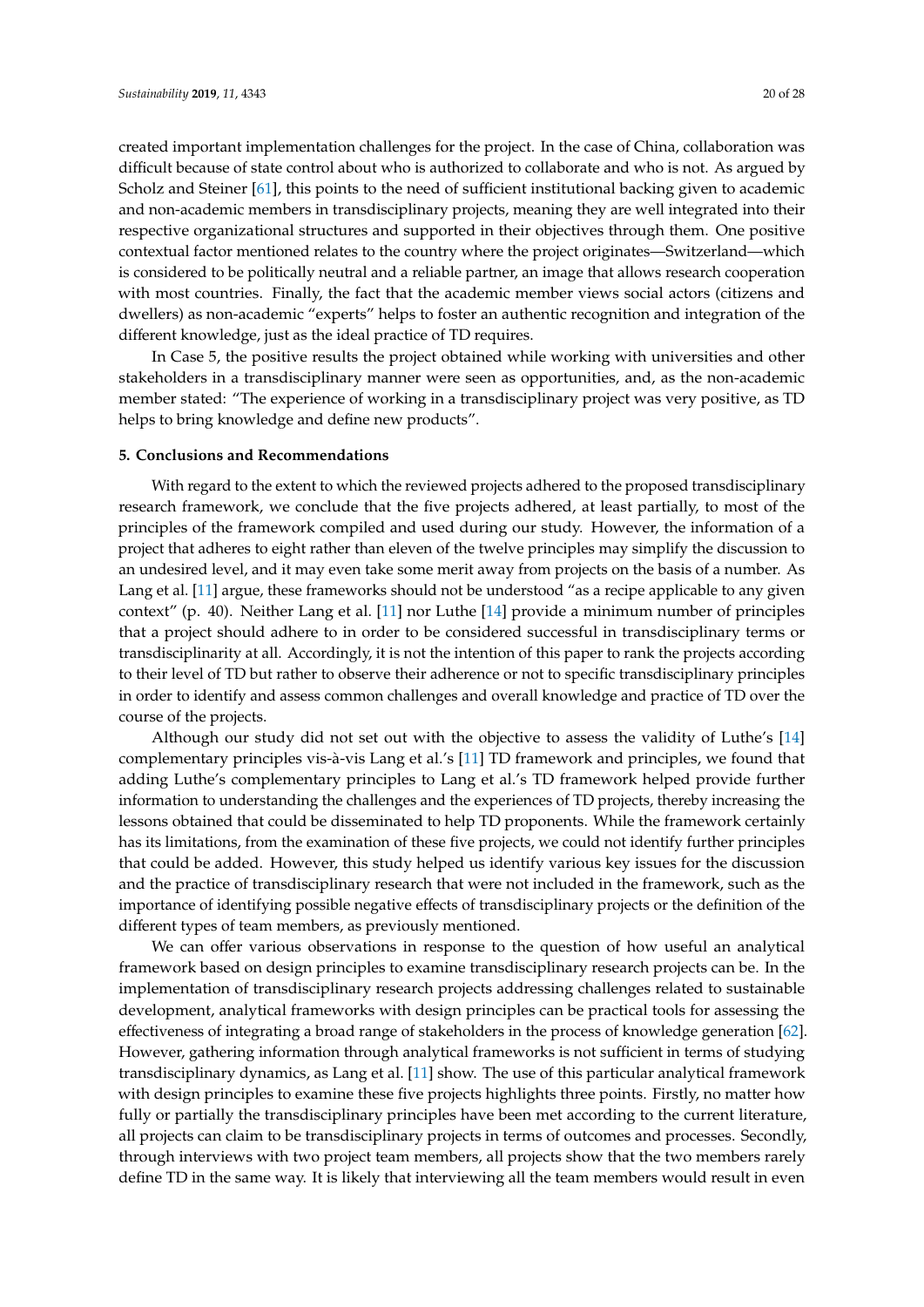created important implementation challenges for the project. In the case of China, collaboration was difficult because of state control about who is authorized to collaborate and who is not. As argued by Scholz and Steiner [\[61\]](#page-26-10), this points to the need of sufficient institutional backing given to academic and non-academic members in transdisciplinary projects, meaning they are well integrated into their respective organizational structures and supported in their objectives through them. One positive contextual factor mentioned relates to the country where the project originates—Switzerland—which is considered to be politically neutral and a reliable partner, an image that allows research cooperation with most countries. Finally, the fact that the academic member views social actors (citizens and dwellers) as non-academic "experts" helps to foster an authentic recognition and integration of the different knowledge, just as the ideal practice of TD requires.

In Case 5, the positive results the project obtained while working with universities and other stakeholders in a transdisciplinary manner were seen as opportunities, and, as the non-academic member stated: "The experience of working in a transdisciplinary project was very positive, as TD helps to bring knowledge and define new products".

## **5. Conclusions and Recommendations**

With regard to the extent to which the reviewed projects adhered to the proposed transdisciplinary research framework, we conclude that the five projects adhered, at least partially, to most of the principles of the framework compiled and used during our study. However, the information of a project that adheres to eight rather than eleven of the twelve principles may simplify the discussion to an undesired level, and it may even take some merit away from projects on the basis of a number. As Lang et al. [\[11\]](#page-24-8) argue, these frameworks should not be understood "as a recipe applicable to any given context" (p. 40). Neither Lang et al. [\[11\]](#page-24-8) nor Luthe [\[14\]](#page-24-9) provide a minimum number of principles that a project should adhere to in order to be considered successful in transdisciplinary terms or transdisciplinarity at all. Accordingly, it is not the intention of this paper to rank the projects according to their level of TD but rather to observe their adherence or not to specific transdisciplinary principles in order to identify and assess common challenges and overall knowledge and practice of TD over the course of the projects.

Although our study did not set out with the objective to assess the validity of Luthe's [\[14\]](#page-24-9) complementary principles vis-à-vis Lang et al.'s [\[11\]](#page-24-8) TD framework and principles, we found that adding Luthe's complementary principles to Lang et al.'s TD framework helped provide further information to understanding the challenges and the experiences of TD projects, thereby increasing the lessons obtained that could be disseminated to help TD proponents. While the framework certainly has its limitations, from the examination of these five projects, we could not identify further principles that could be added. However, this study helped us identify various key issues for the discussion and the practice of transdisciplinary research that were not included in the framework, such as the importance of identifying possible negative effects of transdisciplinary projects or the definition of the different types of team members, as previously mentioned.

We can offer various observations in response to the question of how useful an analytical framework based on design principles to examine transdisciplinary research projects can be. In the implementation of transdisciplinary research projects addressing challenges related to sustainable development, analytical frameworks with design principles can be practical tools for assessing the effectiveness of integrating a broad range of stakeholders in the process of knowledge generation [\[62\]](#page-26-11). However, gathering information through analytical frameworks is not sufficient in terms of studying transdisciplinary dynamics, as Lang et al. [\[11\]](#page-24-8) show. The use of this particular analytical framework with design principles to examine these five projects highlights three points. Firstly, no matter how fully or partially the transdisciplinary principles have been met according to the current literature, all projects can claim to be transdisciplinary projects in terms of outcomes and processes. Secondly, through interviews with two project team members, all projects show that the two members rarely define TD in the same way. It is likely that interviewing all the team members would result in even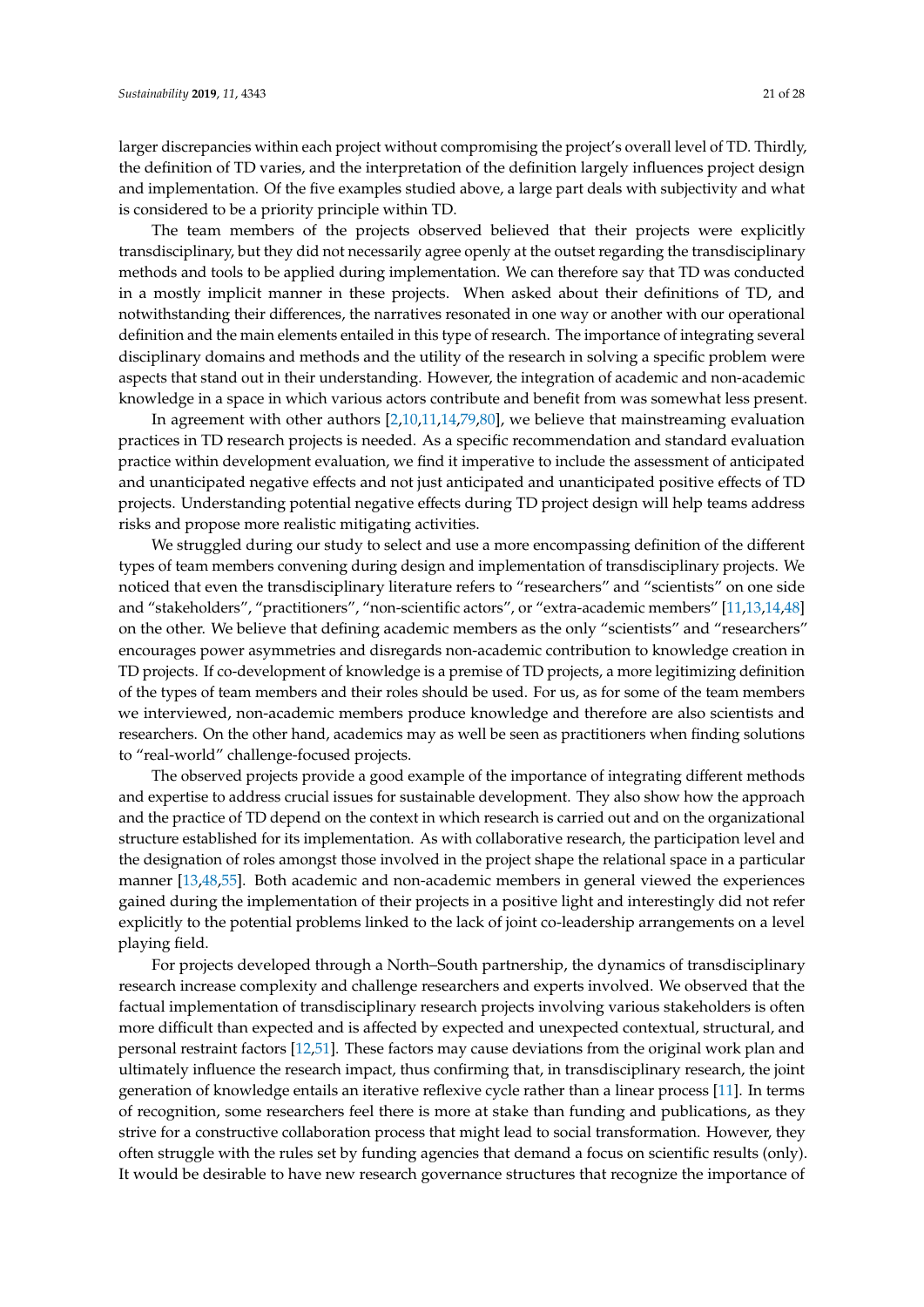larger discrepancies within each project without compromising the project's overall level of TD. Thirdly, the definition of TD varies, and the interpretation of the definition largely influences project design and implementation. Of the five examples studied above, a large part deals with subjectivity and what is considered to be a priority principle within TD.

The team members of the projects observed believed that their projects were explicitly transdisciplinary, but they did not necessarily agree openly at the outset regarding the transdisciplinary methods and tools to be applied during implementation. We can therefore say that TD was conducted in a mostly implicit manner in these projects. When asked about their definitions of TD, and notwithstanding their differences, the narratives resonated in one way or another with our operational definition and the main elements entailed in this type of research. The importance of integrating several disciplinary domains and methods and the utility of the research in solving a specific problem were aspects that stand out in their understanding. However, the integration of academic and non-academic knowledge in a space in which various actors contribute and benefit from was somewhat less present.

In agreement with other authors [\[2,](#page-23-1)[10,](#page-24-6)[11,](#page-24-8)[14,](#page-24-9)[79,](#page-27-7)[80\]](#page-27-8), we believe that mainstreaming evaluation practices in TD research projects is needed. As a specific recommendation and standard evaluation practice within development evaluation, we find it imperative to include the assessment of anticipated and unanticipated negative effects and not just anticipated and unanticipated positive effects of TD projects. Understanding potential negative effects during TD project design will help teams address risks and propose more realistic mitigating activities.

We struggled during our study to select and use a more encompassing definition of the different types of team members convening during design and implementation of transdisciplinary projects. We noticed that even the transdisciplinary literature refers to "researchers" and "scientists" on one side and "stakeholders", "practitioners", "non-scientific actors", or "extra-academic members" [\[11,](#page-24-8)[13,](#page-24-7)[14,](#page-24-9)[48\]](#page-25-22) on the other. We believe that defining academic members as the only "scientists" and "researchers" encourages power asymmetries and disregards non-academic contribution to knowledge creation in TD projects. If co-development of knowledge is a premise of TD projects, a more legitimizing definition of the types of team members and their roles should be used. For us, as for some of the team members we interviewed, non-academic members produce knowledge and therefore are also scientists and researchers. On the other hand, academics may as well be seen as practitioners when finding solutions to "real-world" challenge-focused projects.

The observed projects provide a good example of the importance of integrating different methods and expertise to address crucial issues for sustainable development. They also show how the approach and the practice of TD depend on the context in which research is carried out and on the organizational structure established for its implementation. As with collaborative research, the participation level and the designation of roles amongst those involved in the project shape the relational space in a particular manner [\[13](#page-24-7)[,48](#page-25-22)[,55\]](#page-26-5). Both academic and non-academic members in general viewed the experiences gained during the implementation of their projects in a positive light and interestingly did not refer explicitly to the potential problems linked to the lack of joint co-leadership arrangements on a level playing field.

For projects developed through a North–South partnership, the dynamics of transdisciplinary research increase complexity and challenge researchers and experts involved. We observed that the factual implementation of transdisciplinary research projects involving various stakeholders is often more difficult than expected and is affected by expected and unexpected contextual, structural, and personal restraint factors [\[12](#page-24-19)[,51\]](#page-26-1). These factors may cause deviations from the original work plan and ultimately influence the research impact, thus confirming that, in transdisciplinary research, the joint generation of knowledge entails an iterative reflexive cycle rather than a linear process [\[11\]](#page-24-8). In terms of recognition, some researchers feel there is more at stake than funding and publications, as they strive for a constructive collaboration process that might lead to social transformation. However, they often struggle with the rules set by funding agencies that demand a focus on scientific results (only). It would be desirable to have new research governance structures that recognize the importance of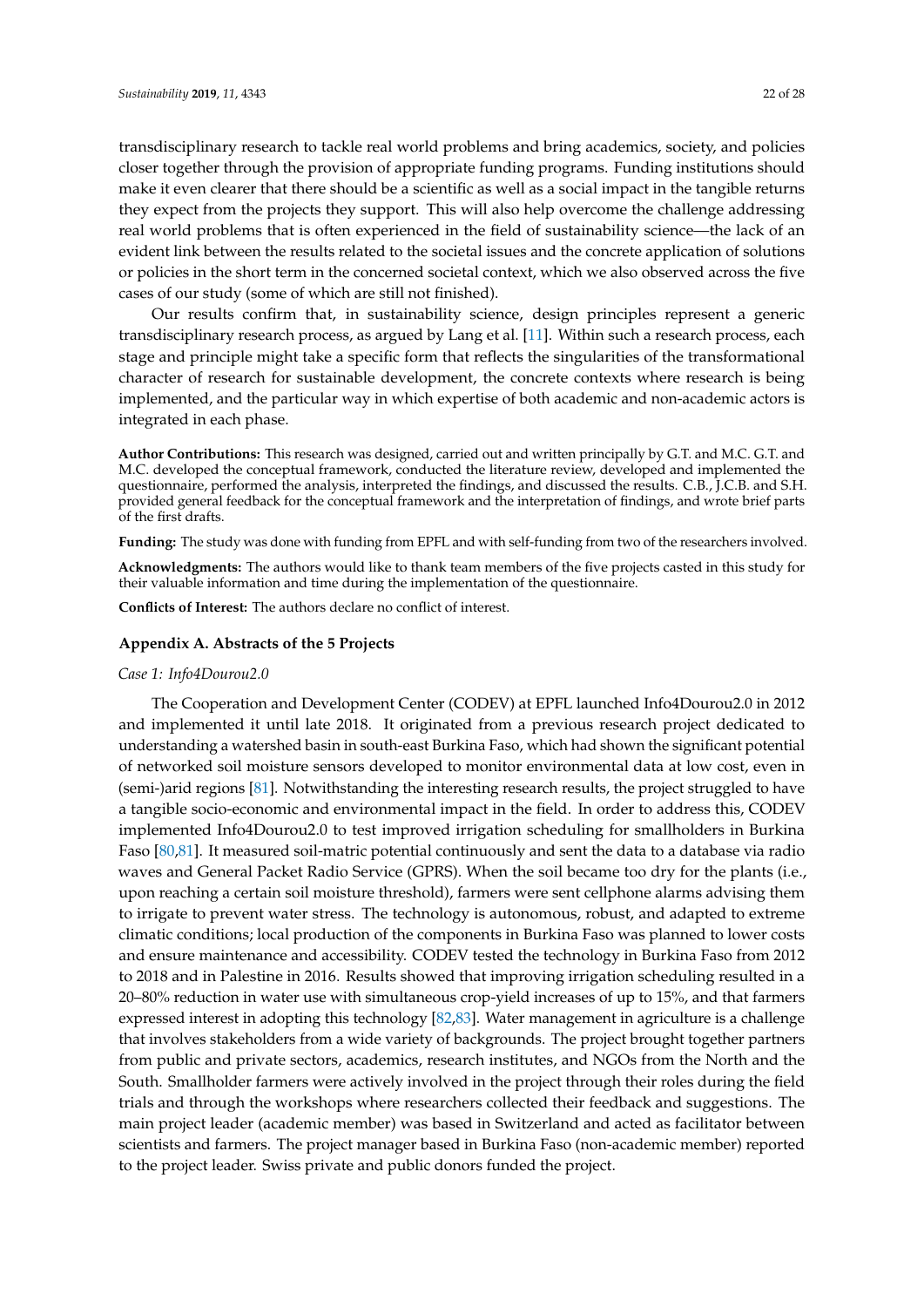transdisciplinary research to tackle real world problems and bring academics, society, and policies closer together through the provision of appropriate funding programs. Funding institutions should make it even clearer that there should be a scientific as well as a social impact in the tangible returns they expect from the projects they support. This will also help overcome the challenge addressing real world problems that is often experienced in the field of sustainability science—the lack of an evident link between the results related to the societal issues and the concrete application of solutions or policies in the short term in the concerned societal context, which we also observed across the five cases of our study (some of which are still not finished).

<span id="page-21-0"></span>Our results confirm that, in sustainability science, design principles represent a generic transdisciplinary research process, as argued by Lang et al. [\[11\]](#page-24-8). Within such a research process, each stage and principle might take a specific form that reflects the singularities of the transformational character of research for sustainable development, the concrete contexts where research is being implemented, and the particular way in which expertise of both academic and non-academic actors is integrated in each phase.

**Author Contributions:** This research was designed, carried out and written principally by G.T. and M.C. G.T. and M.C. developed the conceptual framework, conducted the literature review, developed and implemented the questionnaire, performed the analysis, interpreted the findings, and discussed the results. C.B., J.C.B. and S.H. provided general feedback for the conceptual framework and the interpretation of findings, and wrote brief parts of the first drafts.

**Funding:** The study was done with funding from EPFL and with self-funding from two of the researchers involved.

**Acknowledgments:** The authors would like to thank team members of the five projects casted in this study for their valuable information and time during the implementation of the questionnaire.

**Conflicts of Interest:** The authors declare no conflict of interest.

#### **Appendix A. Abstracts of the 5 Projects**

### *Case 1: Info4Dourou2.0*

The Cooperation and Development Center (CODEV) at EPFL launched Info4Dourou2.0 in 2012 and implemented it until late 2018. It originated from a previous research project dedicated to understanding a watershed basin in south-east Burkina Faso, which had shown the significant potential of networked soil moisture sensors developed to monitor environmental data at low cost, even in (semi-)arid regions [\[81\]](#page-27-9). Notwithstanding the interesting research results, the project struggled to have a tangible socio-economic and environmental impact in the field. In order to address this, CODEV implemented Info4Dourou2.0 to test improved irrigation scheduling for smallholders in Burkina Faso [\[80,](#page-27-8)[81\]](#page-27-9). It measured soil-matric potential continuously and sent the data to a database via radio waves and General Packet Radio Service (GPRS). When the soil became too dry for the plants (i.e., upon reaching a certain soil moisture threshold), farmers were sent cellphone alarms advising them to irrigate to prevent water stress. The technology is autonomous, robust, and adapted to extreme climatic conditions; local production of the components in Burkina Faso was planned to lower costs and ensure maintenance and accessibility. CODEV tested the technology in Burkina Faso from 2012 to 2018 and in Palestine in 2016. Results showed that improving irrigation scheduling resulted in a 20–80% reduction in water use with simultaneous crop-yield increases of up to 15%, and that farmers expressed interest in adopting this technology [\[82](#page-27-10)[,83\]](#page-27-11). Water management in agriculture is a challenge that involves stakeholders from a wide variety of backgrounds. The project brought together partners from public and private sectors, academics, research institutes, and NGOs from the North and the South. Smallholder farmers were actively involved in the project through their roles during the field trials and through the workshops where researchers collected their feedback and suggestions. The main project leader (academic member) was based in Switzerland and acted as facilitator between scientists and farmers. The project manager based in Burkina Faso (non-academic member) reported to the project leader. Swiss private and public donors funded the project.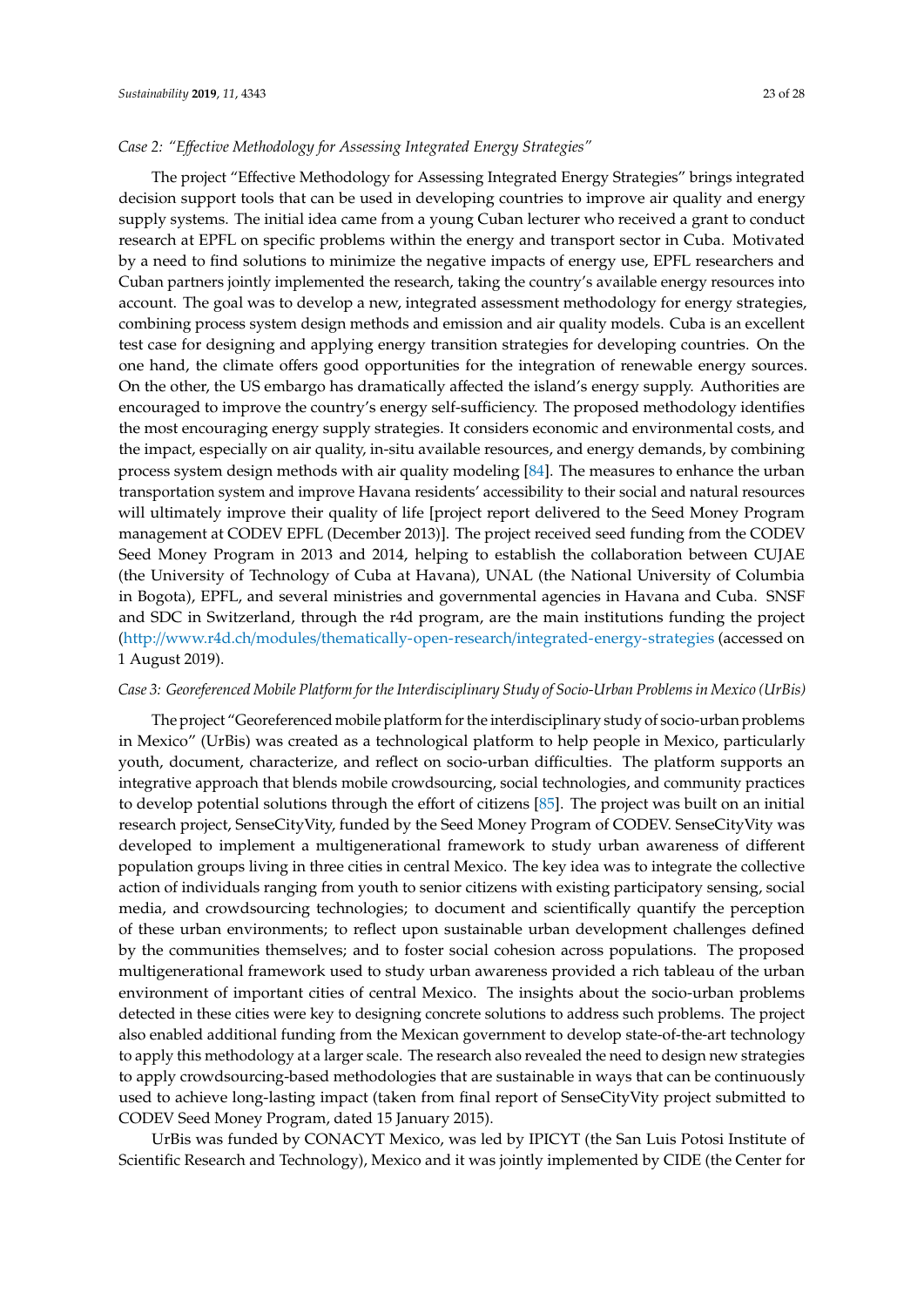# *Case 2: "E*ff*ective Methodology for Assessing Integrated Energy Strategies"*

The project "Effective Methodology for Assessing Integrated Energy Strategies" brings integrated decision support tools that can be used in developing countries to improve air quality and energy supply systems. The initial idea came from a young Cuban lecturer who received a grant to conduct research at EPFL on specific problems within the energy and transport sector in Cuba. Motivated by a need to find solutions to minimize the negative impacts of energy use, EPFL researchers and Cuban partners jointly implemented the research, taking the country's available energy resources into account. The goal was to develop a new, integrated assessment methodology for energy strategies, combining process system design methods and emission and air quality models. Cuba is an excellent test case for designing and applying energy transition strategies for developing countries. On the one hand, the climate offers good opportunities for the integration of renewable energy sources. On the other, the US embargo has dramatically affected the island's energy supply. Authorities are encouraged to improve the country's energy self-sufficiency. The proposed methodology identifies the most encouraging energy supply strategies. It considers economic and environmental costs, and the impact, especially on air quality, in-situ available resources, and energy demands, by combining process system design methods with air quality modeling [\[84\]](#page-27-12). The measures to enhance the urban transportation system and improve Havana residents' accessibility to their social and natural resources will ultimately improve their quality of life [project report delivered to the Seed Money Program management at CODEV EPFL (December 2013)]. The project received seed funding from the CODEV Seed Money Program in 2013 and 2014, helping to establish the collaboration between CUJAE (the University of Technology of Cuba at Havana), UNAL (the National University of Columbia in Bogota), EPFL, and several ministries and governmental agencies in Havana and Cuba. SNSF and SDC in Switzerland, through the r4d program, are the main institutions funding the project (http://www.r4d.ch/modules/thematically-open-research/[integrated-energy-strategies](http://www.r4d.ch/modules/thematically-open-research/integrated-energy-strategies) (accessed on 1 August 2019).

## *Case 3: Georeferenced Mobile Platform for the Interdisciplinary Study of Socio-Urban Problems in Mexico (UrBis)*

The project "Georeferenced mobile platform for the interdisciplinary study of socio-urban problems in Mexico" (UrBis) was created as a technological platform to help people in Mexico, particularly youth, document, characterize, and reflect on socio-urban difficulties. The platform supports an integrative approach that blends mobile crowdsourcing, social technologies, and community practices to develop potential solutions through the effort of citizens [\[85\]](#page-27-13). The project was built on an initial research project, SenseCityVity, funded by the Seed Money Program of CODEV. SenseCityVity was developed to implement a multigenerational framework to study urban awareness of different population groups living in three cities in central Mexico. The key idea was to integrate the collective action of individuals ranging from youth to senior citizens with existing participatory sensing, social media, and crowdsourcing technologies; to document and scientifically quantify the perception of these urban environments; to reflect upon sustainable urban development challenges defined by the communities themselves; and to foster social cohesion across populations. The proposed multigenerational framework used to study urban awareness provided a rich tableau of the urban environment of important cities of central Mexico. The insights about the socio-urban problems detected in these cities were key to designing concrete solutions to address such problems. The project also enabled additional funding from the Mexican government to develop state-of-the-art technology to apply this methodology at a larger scale. The research also revealed the need to design new strategies to apply crowdsourcing-based methodologies that are sustainable in ways that can be continuously used to achieve long-lasting impact (taken from final report of SenseCityVity project submitted to CODEV Seed Money Program, dated 15 January 2015).

UrBis was funded by CONACYT Mexico, was led by IPICYT (the San Luis Potosi Institute of Scientific Research and Technology), Mexico and it was jointly implemented by CIDE (the Center for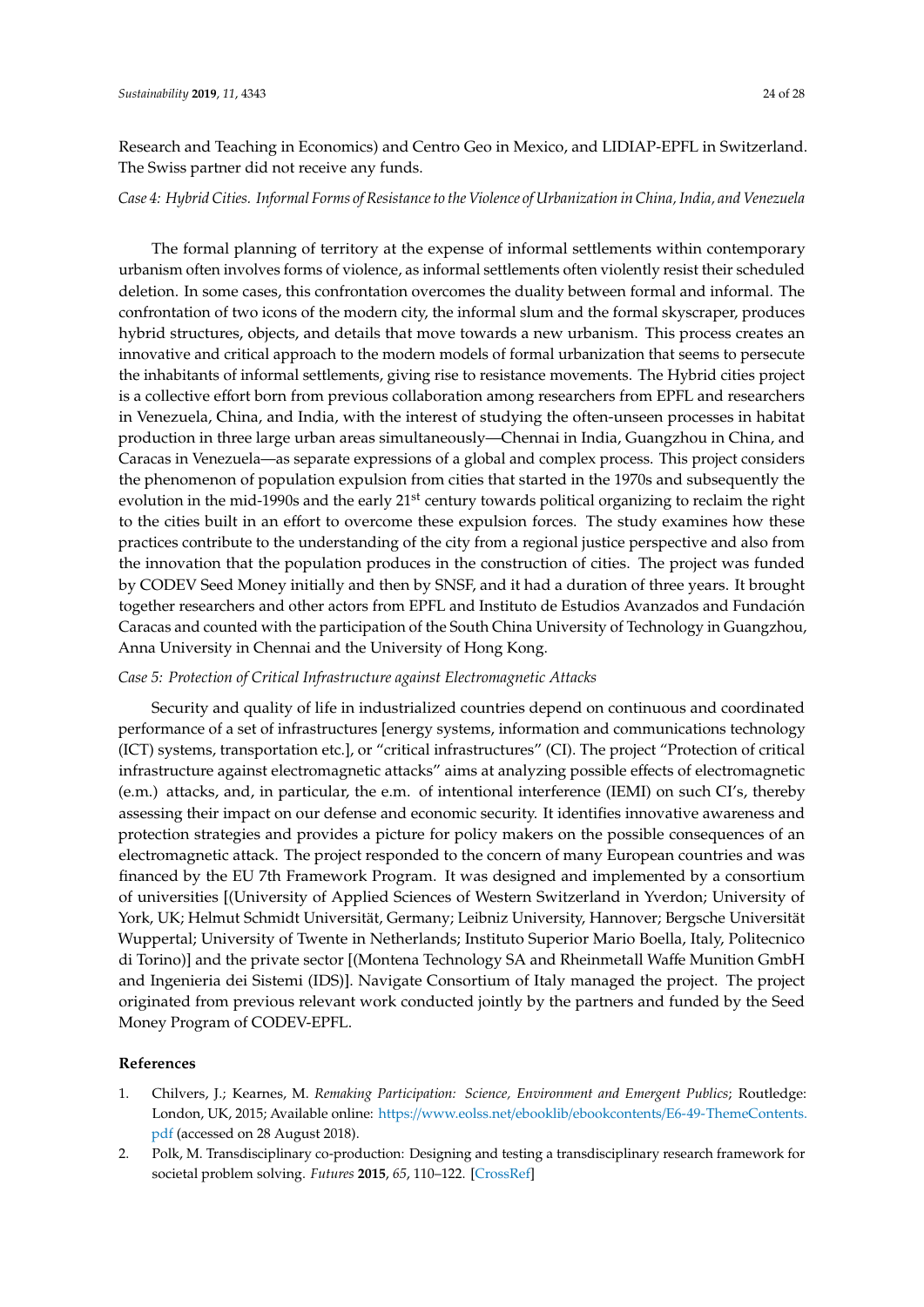Research and Teaching in Economics) and Centro Geo in Mexico, and LIDIAP-EPFL in Switzerland. The Swiss partner did not receive any funds.

# *Case 4: Hybrid Cities. Informal Forms of Resistance to the Violence of Urbanization in China, India, and Venezuela*

The formal planning of territory at the expense of informal settlements within contemporary urbanism often involves forms of violence, as informal settlements often violently resist their scheduled deletion. In some cases, this confrontation overcomes the duality between formal and informal. The confrontation of two icons of the modern city, the informal slum and the formal skyscraper, produces hybrid structures, objects, and details that move towards a new urbanism. This process creates an innovative and critical approach to the modern models of formal urbanization that seems to persecute the inhabitants of informal settlements, giving rise to resistance movements. The Hybrid cities project is a collective effort born from previous collaboration among researchers from EPFL and researchers in Venezuela, China, and India, with the interest of studying the often-unseen processes in habitat production in three large urban areas simultaneously—Chennai in India, Guangzhou in China, and Caracas in Venezuela—as separate expressions of a global and complex process. This project considers the phenomenon of population expulsion from cities that started in the 1970s and subsequently the evolution in the mid-1990s and the early  $21<sup>st</sup>$  century towards political organizing to reclaim the right to the cities built in an effort to overcome these expulsion forces. The study examines how these practices contribute to the understanding of the city from a regional justice perspective and also from the innovation that the population produces in the construction of cities. The project was funded by CODEV Seed Money initially and then by SNSF, and it had a duration of three years. It brought together researchers and other actors from EPFL and Instituto de Estudios Avanzados and Fundación Caracas and counted with the participation of the South China University of Technology in Guangzhou, Anna University in Chennai and the University of Hong Kong.

# *Case 5: Protection of Critical Infrastructure against Electromagnetic Attacks*

Security and quality of life in industrialized countries depend on continuous and coordinated performance of a set of infrastructures [energy systems, information and communications technology (ICT) systems, transportation etc.], or "critical infrastructures" (CI). The project "Protection of critical infrastructure against electromagnetic attacks" aims at analyzing possible effects of electromagnetic (e.m.) attacks, and, in particular, the e.m. of intentional interference (IEMI) on such CI's, thereby assessing their impact on our defense and economic security. It identifies innovative awareness and protection strategies and provides a picture for policy makers on the possible consequences of an electromagnetic attack. The project responded to the concern of many European countries and was financed by the EU 7th Framework Program. It was designed and implemented by a consortium of universities [(University of Applied Sciences of Western Switzerland in Yverdon; University of York, UK; Helmut Schmidt Universität, Germany; Leibniz University, Hannover; Bergsche Universität Wuppertal; University of Twente in Netherlands; Instituto Superior Mario Boella, Italy, Politecnico di Torino)] and the private sector [(Montena Technology SA and Rheinmetall Waffe Munition GmbH and Ingenieria dei Sistemi (IDS)]. Navigate Consortium of Italy managed the project. The project originated from previous relevant work conducted jointly by the partners and funded by the Seed Money Program of CODEV-EPFL.

## **References**

- <span id="page-23-0"></span>1. Chilvers, J.; Kearnes, M. *Remaking Participation: Science, Environment and Emergent Publics*; Routledge: London, UK, 2015; Available online: https://www.eolss.net/ebooklib/ebookcontents/[E6-49-ThemeContents.](https://www.eolss.net/ebooklib/ebookcontents/E6-49-ThemeContents.pdf) [pdf](https://www.eolss.net/ebooklib/ebookcontents/E6-49-ThemeContents.pdf) (accessed on 28 August 2018).
- <span id="page-23-1"></span>2. Polk, M. Transdisciplinary co-production: Designing and testing a transdisciplinary research framework for societal problem solving. *Futures* **2015**, *65*, 110–122. [\[CrossRef\]](http://dx.doi.org/10.1016/j.futures.2014.11.001)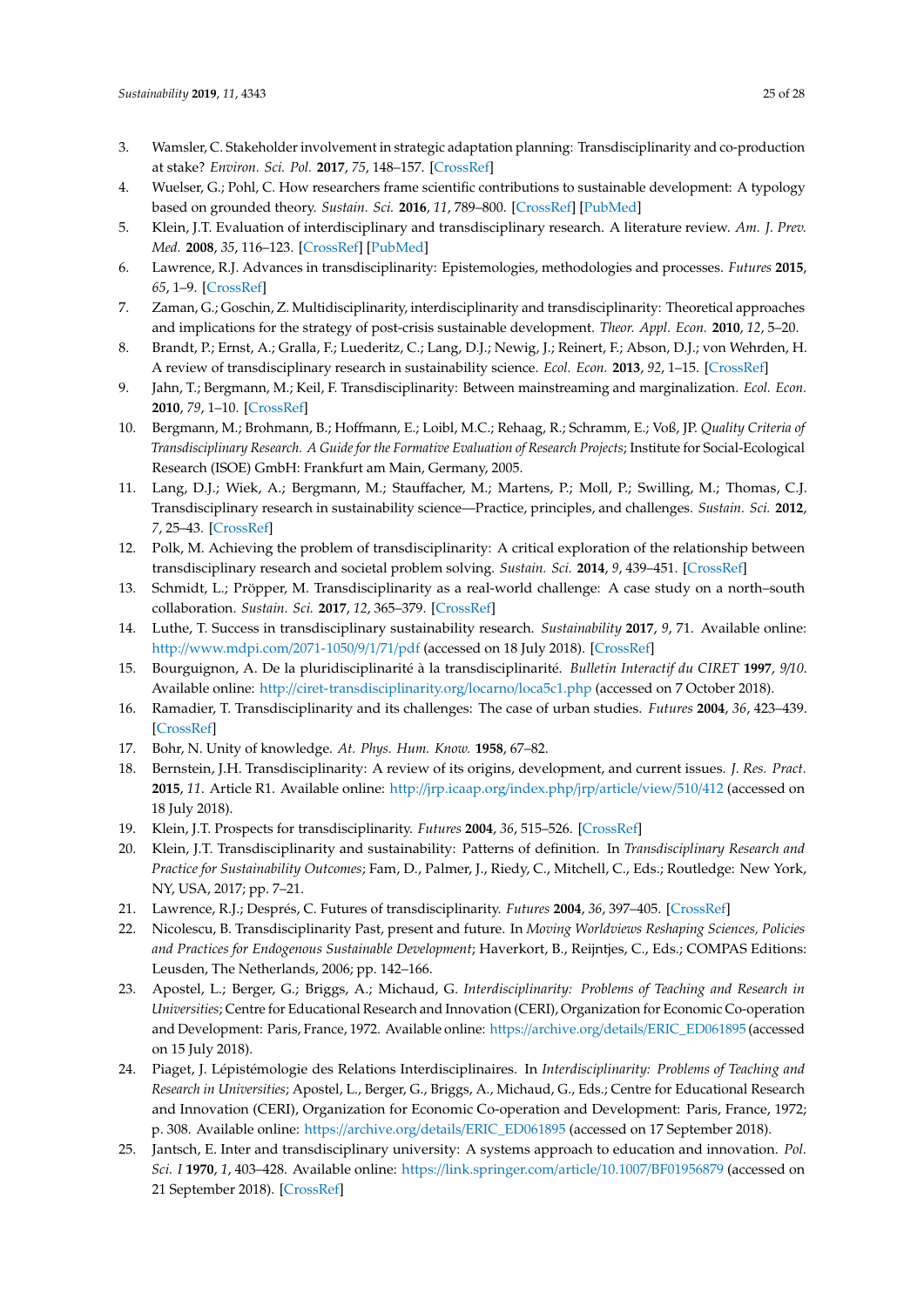- <span id="page-24-21"></span><span id="page-24-0"></span>3. Wamsler, C. Stakeholder involvement in strategic adaptation planning: Transdisciplinarity and co-production at stake? *Environ. Sci. Pol.* **2017**, *75*, 148–157. [\[CrossRef\]](http://dx.doi.org/10.1016/j.envsci.2017.03.016)
- <span id="page-24-1"></span>4. Wuelser, G.; Pohl, C. How researchers frame scientific contributions to sustainable development: A typology based on grounded theory. *Sustain. Sci.* **2016**, *11*, 789–800. [\[CrossRef\]](http://dx.doi.org/10.1007/s11625-016-0363-7) [\[PubMed\]](http://www.ncbi.nlm.nih.gov/pubmed/30174743)
- <span id="page-24-22"></span><span id="page-24-2"></span>5. Klein, J.T. Evaluation of interdisciplinary and transdisciplinary research. A literature review. *Am. J. Prev. Med.* **2008**, *35*, 116–123. [\[CrossRef\]](http://dx.doi.org/10.1016/j.amepre.2008.05.010) [\[PubMed\]](http://www.ncbi.nlm.nih.gov/pubmed/18619391)
- 6. Lawrence, R.J. Advances in transdisciplinarity: Epistemologies, methodologies and processes. *Futures* **2015**, *65*, 1–9. [\[CrossRef\]](http://dx.doi.org/10.1016/j.futures.2014.11.007)
- <span id="page-24-3"></span>7. Zaman, G.; Goschin, Z. Multidisciplinarity, interdisciplinarity and transdisciplinarity: Theoretical approaches and implications for the strategy of post-crisis sustainable development. *Theor. Appl. Econ.* **2010**, *12*, 5–20.
- <span id="page-24-4"></span>8. Brandt, P.; Ernst, A.; Gralla, F.; Luederitz, C.; Lang, D.J.; Newig, J.; Reinert, F.; Abson, D.J.; von Wehrden, H. A review of transdisciplinary research in sustainability science. *Ecol. Econ.* **2013**, *92*, 1–15. [\[CrossRef\]](http://dx.doi.org/10.1016/j.ecolecon.2013.04.008)
- <span id="page-24-5"></span>9. Jahn, T.; Bergmann, M.; Keil, F. Transdisciplinarity: Between mainstreaming and marginalization. *Ecol. Econ.* **2010**, *79*, 1–10. [\[CrossRef\]](http://dx.doi.org/10.1016/j.ecolecon.2012.04.017)
- <span id="page-24-6"></span>10. Bergmann, M.; Brohmann, B.; Hoffmann, E.; Loibl, M.C.; Rehaag, R.; Schramm, E.; Voß, JP. *Quality Criteria of Transdisciplinary Research. A Guide for the Formative Evaluation of Research Projects*; Institute for Social-Ecological Research (ISOE) GmbH: Frankfurt am Main, Germany, 2005.
- <span id="page-24-8"></span>11. Lang, D.J.; Wiek, A.; Bergmann, M.; Stauffacher, M.; Martens, P.; Moll, P.; Swilling, M.; Thomas, C.J. Transdisciplinary research in sustainability science—Practice, principles, and challenges. *Sustain. Sci.* **2012**, *7*, 25–43. [\[CrossRef\]](http://dx.doi.org/10.1007/s11625-011-0149-x)
- <span id="page-24-19"></span>12. Polk, M. Achieving the problem of transdisciplinarity: A critical exploration of the relationship between transdisciplinary research and societal problem solving. *Sustain. Sci.* **2014**, *9*, 439–451. [\[CrossRef\]](http://dx.doi.org/10.1007/s11625-014-0247-7)
- <span id="page-24-7"></span>13. Schmidt, L.; Pröpper, M. Transdisciplinarity as a real-world challenge: A case study on a north–south collaboration. *Sustain. Sci.* **2017**, *12*, 365–379. [\[CrossRef\]](http://dx.doi.org/10.1007/s11625-017-0430-8)
- <span id="page-24-9"></span>14. Luthe, T. Success in transdisciplinary sustainability research. *Sustainability* **2017**, *9*, 71. Available online: http://[www.mdpi.com](http://www.mdpi.com/2071-1050/9/1/71/pdf)/2071-1050/9/1/71/pdf (accessed on 18 July 2018). [\[CrossRef\]](http://dx.doi.org/10.3390/su9010071)
- <span id="page-24-10"></span>15. Bourguignon, A. De la pluridisciplinarité à la transdisciplinarité. *Bulletin Interactif du CIRET* **1997**, *9*/*10*. Available online: http://[ciret-transdisciplinarity.org](http://ciret-transdisciplinarity.org/locarno/loca5c1.php)/locarno/loca5c1.php (accessed on 7 October 2018).
- <span id="page-24-11"></span>16. Ramadier, T. Transdisciplinarity and its challenges: The case of urban studies. *Futures* **2004**, *36*, 423–439. [\[CrossRef\]](http://dx.doi.org/10.1016/j.futures.2003.10.009)
- <span id="page-24-12"></span>17. Bohr, N. Unity of knowledge. *At. Phys. Hum. Know.* **1958**, 67–82.
- <span id="page-24-13"></span>18. Bernstein, J.H. Transdisciplinarity: A review of its origins, development, and current issues. *J. Res. Pract.* **2015**, *11*. Article R1. Available online: http://[jrp.icaap.org](http://jrp.icaap.org/index.php/jrp/article/view/510/412)/index.php/jrp/article/view/510/412 (accessed on 18 July 2018).
- <span id="page-24-20"></span>19. Klein, J.T. Prospects for transdisciplinarity. *Futures* **2004**, *36*, 515–526. [\[CrossRef\]](http://dx.doi.org/10.1016/j.futures.2003.10.007)
- <span id="page-24-18"></span>20. Klein, J.T. Transdisciplinarity and sustainability: Patterns of definition. In *Transdisciplinary Research and Practice for Sustainability Outcomes*; Fam, D., Palmer, J., Riedy, C., Mitchell, C., Eds.; Routledge: New York, NY, USA, 2017; pp. 7–21.
- 21. Lawrence, R.J.; Després, C. Futures of transdisciplinarity. *Futures* **2004**, *36*, 397–405. [\[CrossRef\]](http://dx.doi.org/10.1016/j.futures.2003.10.005)
- <span id="page-24-14"></span>22. Nicolescu, B. Transdisciplinarity Past, present and future. In *Moving Worldviews Reshaping Sciences, Policies and Practices for Endogenous Sustainable Development*; Haverkort, B., Reijntjes, C., Eds.; COMPAS Editions: Leusden, The Netherlands, 2006; pp. 142–166.
- <span id="page-24-15"></span>23. Apostel, L.; Berger, G.; Briggs, A.; Michaud, G. *Interdisciplinarity: Problems of Teaching and Research in Universities*; Centre for Educational Research and Innovation (CERI), Organization for Economic Co-operation and Development: Paris, France, 1972. Available online: https://archive.org/details/[ERIC\\_ED061895](https://archive.org/details/ERIC_ED061895) (accessed on 15 July 2018).
- <span id="page-24-16"></span>24. Piaget, J. Lépistémologie des Relations Interdisciplinaires. In *Interdisciplinarity: Problems of Teaching and Research in Universities*; Apostel, L., Berger, G., Briggs, A., Michaud, G., Eds.; Centre for Educational Research and Innovation (CERI), Organization for Economic Co-operation and Development: Paris, France, 1972; p. 308. Available online: https://archive.org/details/[ERIC\\_ED061895](https://archive.org/details/ERIC_ED061895) (accessed on 17 September 2018).
- <span id="page-24-17"></span>25. Jantsch, E. Inter and transdisciplinary university: A systems approach to education and innovation. *Pol. Sci. I* **1970**, *1*, 403–428. Available online: https://[link.springer.com](https://link.springer.com/article/10.1007/BF01956879)/article/10.1007/BF01956879 (accessed on 21 September 2018). [\[CrossRef\]](http://dx.doi.org/10.1007/BF00145222)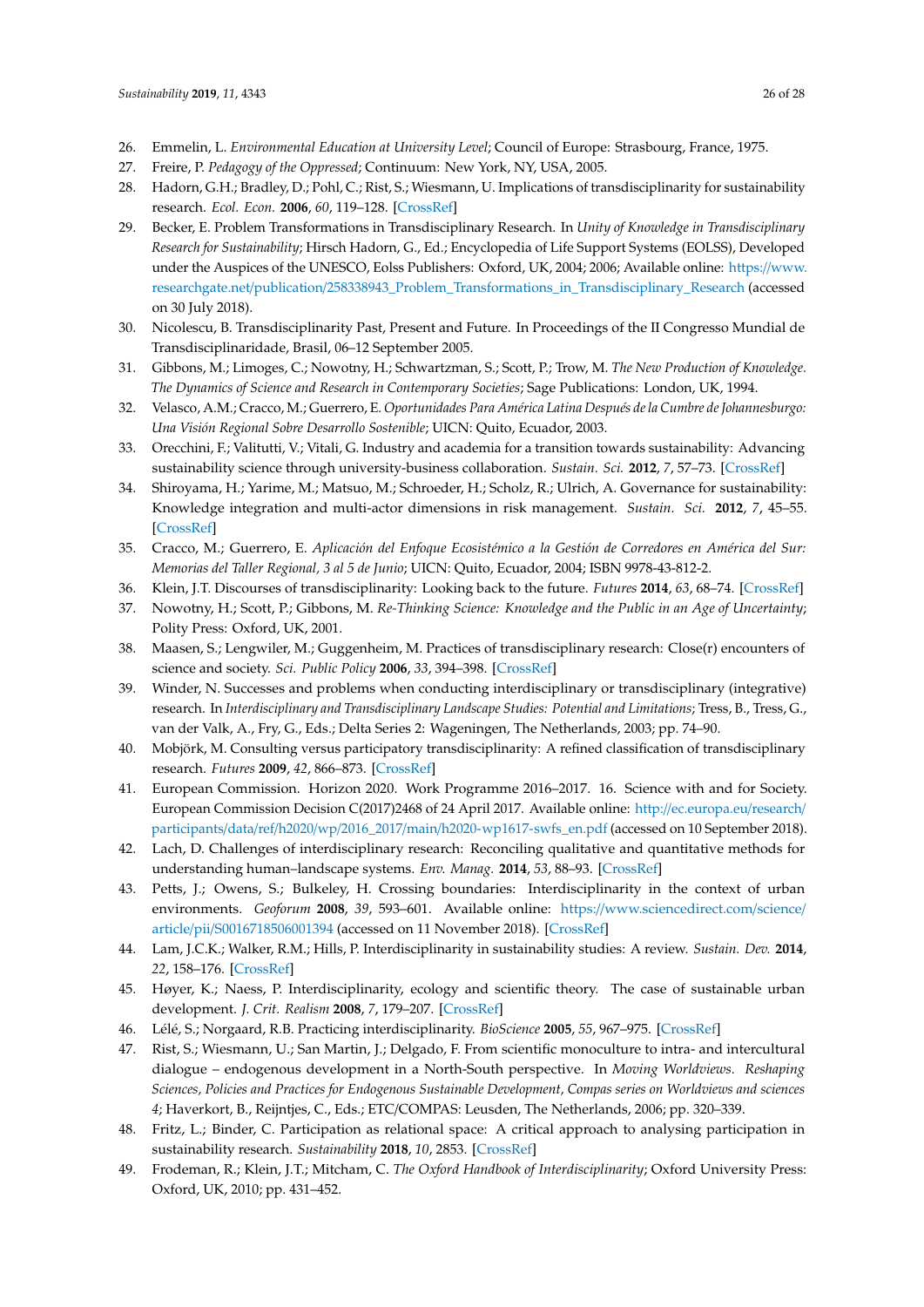- <span id="page-25-0"></span>26. Emmelin, L. *Environmental Education at University Level*; Council of Europe: Strasbourg, France, 1975.
- <span id="page-25-1"></span>27. Freire, P. *Pedagogy of the Oppressed*; Continuum: New York, NY, USA, 2005.
- <span id="page-25-2"></span>28. Hadorn, G.H.; Bradley, D.; Pohl, C.; Rist, S.; Wiesmann, U. Implications of transdisciplinarity for sustainability research. *Ecol. Econ.* **2006**, *60*, 119–128. [\[CrossRef\]](http://dx.doi.org/10.1016/j.ecolecon.2005.12.002)
- <span id="page-25-3"></span>29. Becker, E. Problem Transformations in Transdisciplinary Research. In *Unity of Knowledge in Transdisciplinary Research for Sustainability*; Hirsch Hadorn, G., Ed.; Encyclopedia of Life Support Systems (EOLSS), Developed under the Auspices of the UNESCO, Eolss Publishers: Oxford, UK, 2004; 2006; Available online: https://[www.](https://www.researchgate.net/publication/258338943_Problem_Transformations_in_Transdisciplinary_Research) researchgate.net/publication/[258338943\\_Problem\\_Transformations\\_in\\_Transdisciplinary\\_Research](https://www.researchgate.net/publication/258338943_Problem_Transformations_in_Transdisciplinary_Research) (accessed on 30 July 2018).
- <span id="page-25-4"></span>30. Nicolescu, B. Transdisciplinarity Past, Present and Future. In Proceedings of the II Congresso Mundial de Transdisciplinaridade, Brasil, 06–12 September 2005.
- <span id="page-25-5"></span>31. Gibbons, M.; Limoges, C.; Nowotny, H.; Schwartzman, S.; Scott, P.; Trow, M. *The New Production of Knowledge. The Dynamics of Science and Research in Contemporary Societies*; Sage Publications: London, UK, 1994.
- <span id="page-25-6"></span>32. Velasco, A.M.; Cracco, M.; Guerrero, E. *Oportunidades Para América Latina Después de la Cumbre de Johannesburgo: Una Visión Regional Sobre Desarrollo Sostenible*; UICN: Quito, Ecuador, 2003.
- <span id="page-25-7"></span>33. Orecchini, F.; Valitutti, V.; Vitali, G. Industry and academia for a transition towards sustainability: Advancing sustainability science through university-business collaboration. *Sustain. Sci.* **2012**, *7*, 57–73. [\[CrossRef\]](http://dx.doi.org/10.1007/s11625-011-0151-3)
- <span id="page-25-8"></span>34. Shiroyama, H.; Yarime, M.; Matsuo, M.; Schroeder, H.; Scholz, R.; Ulrich, A. Governance for sustainability: Knowledge integration and multi-actor dimensions in risk management. *Sustain. Sci.* **2012**, *7*, 45–55. [\[CrossRef\]](http://dx.doi.org/10.1007/s11625-011-0155-z)
- <span id="page-25-9"></span>35. Cracco, M.; Guerrero, E. *Aplicación del Enfoque Ecosistémico a la Gestión de Corredores en América del Sur: Memorias del Taller Regional, 3 al 5 de Junio*; UICN: Quito, Ecuador, 2004; ISBN 9978-43-812-2.
- <span id="page-25-10"></span>36. Klein, J.T. Discourses of transdisciplinarity: Looking back to the future. *Futures* **2014**, *63*, 68–74. [\[CrossRef\]](http://dx.doi.org/10.1016/j.futures.2014.08.008)
- <span id="page-25-11"></span>37. Nowotny, H.; Scott, P.; Gibbons, M. *Re-Thinking Science: Knowledge and the Public in an Age of Uncertainty*; Polity Press: Oxford, UK, 2001.
- <span id="page-25-12"></span>38. Maasen, S.; Lengwiler, M.; Guggenheim, M. Practices of transdisciplinary research: Close(r) encounters of science and society. *Sci. Public Policy* **2006**, *33*, 394–398. [\[CrossRef\]](http://dx.doi.org/10.3152/147154306781778830)
- <span id="page-25-13"></span>39. Winder, N. Successes and problems when conducting interdisciplinary or transdisciplinary (integrative) research. In *Interdisciplinary and Transdisciplinary Landscape Studies: Potential and Limitations*; Tress, B., Tress, G., van der Valk, A., Fry, G., Eds.; Delta Series 2: Wageningen, The Netherlands, 2003; pp. 74–90.
- <span id="page-25-14"></span>40. Mobjörk, M. Consulting versus participatory transdisciplinarity: A refined classification of transdisciplinary research. *Futures* **2009**, *42*, 866–873. [\[CrossRef\]](http://dx.doi.org/10.1016/j.futures.2010.03.003)
- <span id="page-25-15"></span>41. European Commission. Horizon 2020. Work Programme 2016–2017. 16. Science with and for Society. European Commission Decision C(2017)2468 of 24 April 2017. Available online: http://[ec.europa.eu](http://ec.europa.eu/research/participants/data/ref/h2020/wp/2016_2017/main/h2020-wp1617-swfs_en.pdf)/research/ participants/data/ref/h2020/wp/2016\_2017/main/[h2020-wp1617-swfs\\_en.pdf](http://ec.europa.eu/research/participants/data/ref/h2020/wp/2016_2017/main/h2020-wp1617-swfs_en.pdf) (accessed on 10 September 2018).
- <span id="page-25-16"></span>42. Lach, D. Challenges of interdisciplinary research: Reconciling qualitative and quantitative methods for understanding human–landscape systems. *Env. Manag.* **2014**, *53*, 88–93. [\[CrossRef\]](http://dx.doi.org/10.1007/s00267-013-0115-8)
- <span id="page-25-17"></span>43. Petts, J.; Owens, S.; Bulkeley, H. Crossing boundaries: Interdisciplinarity in the context of urban environments. *Geoforum* **2008**, *39*, 593–601. Available online: https://[www.sciencedirect.com](https://www.sciencedirect.com/science/article/pii/S0016718506001394)/science/ article/pii/[S0016718506001394](https://www.sciencedirect.com/science/article/pii/S0016718506001394) (accessed on 11 November 2018). [\[CrossRef\]](http://dx.doi.org/10.1016/j.geoforum.2006.02.008)
- <span id="page-25-18"></span>44. Lam, J.C.K.; Walker, R.M.; Hills, P. Interdisciplinarity in sustainability studies: A review. *Sustain. Dev.* **2014**, *22*, 158–176. [\[CrossRef\]](http://dx.doi.org/10.1002/sd.533)
- <span id="page-25-19"></span>45. Høyer, K.; Naess, P. Interdisciplinarity, ecology and scientific theory. The case of sustainable urban development. *J. Crit. Realism* **2008**, *7*, 179–207. [\[CrossRef\]](http://dx.doi.org/10.1558/jocr.v7i2.179)
- <span id="page-25-20"></span>46. Lélé, S.; Norgaard, R.B. Practicing interdisciplinarity. *BioScience* **2005**, *55*, 967–975. [\[CrossRef\]](http://dx.doi.org/10.1641/0006-3568(2005)055[0967:PI]2.0.CO;2)
- <span id="page-25-21"></span>47. Rist, S.; Wiesmann, U.; San Martin, J.; Delgado, F. From scientific monoculture to intra- and intercultural dialogue – endogenous development in a North-South perspective. In *Moving Worldviews. Reshaping Sciences, Policies and Practices for Endogenous Sustainable Development, Compas series on Worldviews and sciences 4*; Haverkort, B., Reijntjes, C., Eds.; ETC/COMPAS: Leusden, The Netherlands, 2006; pp. 320–339.
- <span id="page-25-22"></span>48. Fritz, L.; Binder, C. Participation as relational space: A critical approach to analysing participation in sustainability research. *Sustainability* **2018**, *10*, 2853. [\[CrossRef\]](http://dx.doi.org/10.3390/su10082853)
- 49. Frodeman, R.; Klein, J.T.; Mitcham, C. *The Oxford Handbook of Interdisciplinarity*; Oxford University Press: Oxford, UK, 2010; pp. 431–452.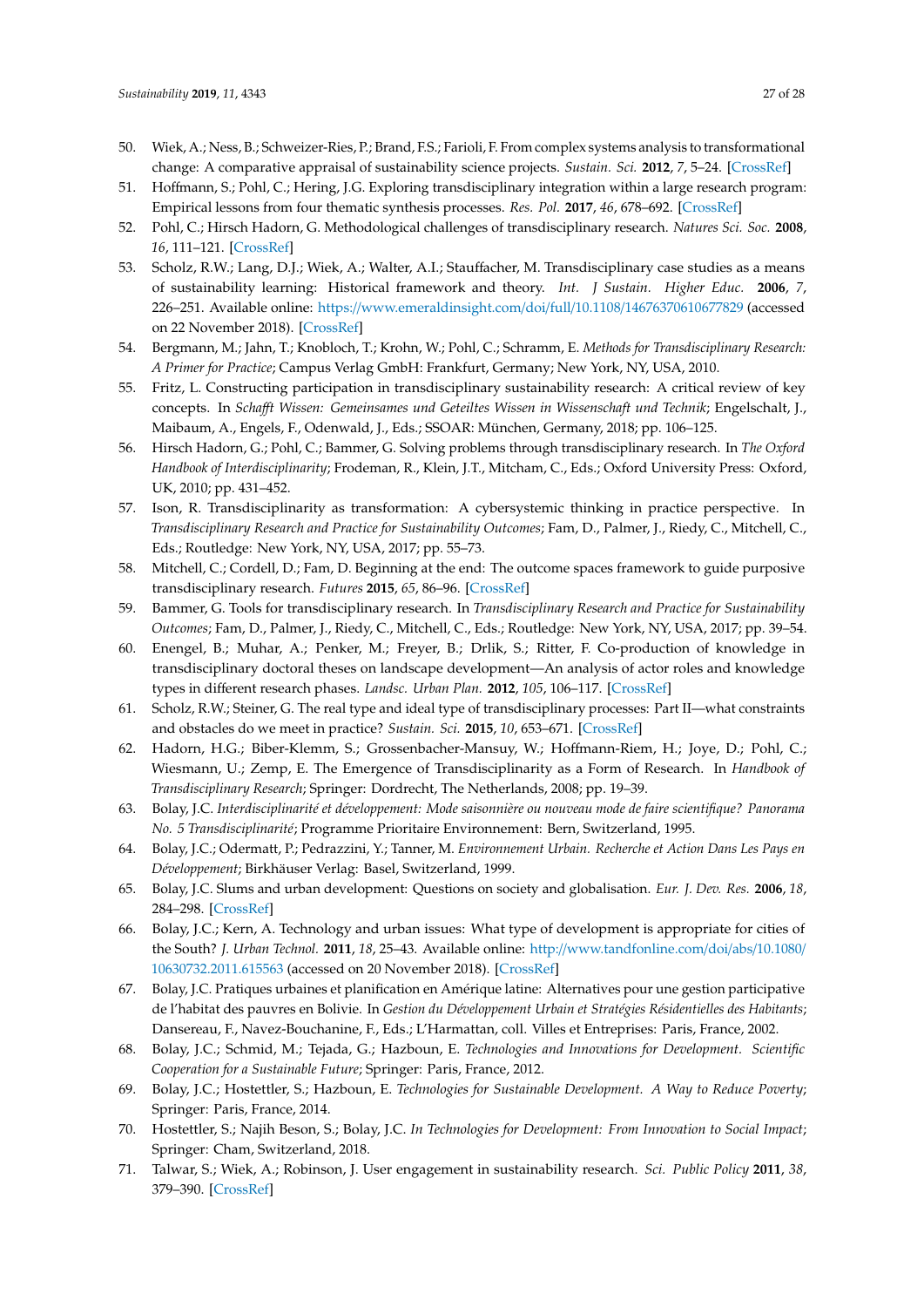- <span id="page-26-0"></span>50. Wiek, A.; Ness, B.; Schweizer-Ries, P.; Brand, F.S.; Farioli, F. From complex systems analysis to transformational change: A comparative appraisal of sustainability science projects. *Sustain. Sci.* **2012**, *7*, 5–24. [\[CrossRef\]](http://dx.doi.org/10.1007/s11625-011-0148-y)
- <span id="page-26-1"></span>51. Hoffmann, S.; Pohl, C.; Hering, J.G. Exploring transdisciplinary integration within a large research program: Empirical lessons from four thematic synthesis processes. *Res. Pol.* **2017**, *46*, 678–692. [\[CrossRef\]](http://dx.doi.org/10.1016/j.respol.2017.01.004)
- <span id="page-26-3"></span>52. Pohl, C.; Hirsch Hadorn, G. Methodological challenges of transdisciplinary research. *Natures Sci. Soc.* **2008**, *16*, 111–121. [\[CrossRef\]](http://dx.doi.org/10.1051/nss:2008035)
- <span id="page-26-2"></span>53. Scholz, R.W.; Lang, D.J.; Wiek, A.; Walter, A.I.; Stauffacher, M. Transdisciplinary case studies as a means of sustainability learning: Historical framework and theory. *Int. J Sustain. Higher Educ.* **2006**, *7*, 226–251. Available online: https://[www.emeraldinsight.com](https://www.emeraldinsight.com/doi/full/10.1108/14676370610677829)/doi/full/10.1108/14676370610677829 (accessed on 22 November 2018). [\[CrossRef\]](http://dx.doi.org/10.1108/14676370610677829)
- <span id="page-26-4"></span>54. Bergmann, M.; Jahn, T.; Knobloch, T.; Krohn, W.; Pohl, C.; Schramm, E. *Methods for Transdisciplinary Research: A Primer for Practice*; Campus Verlag GmbH: Frankfurt, Germany; New York, NY, USA, 2010.
- <span id="page-26-5"></span>55. Fritz, L. Constructing participation in transdisciplinary sustainability research: A critical review of key concepts. In *Scha*ff*t Wissen: Gemeinsames und Geteiltes Wissen in Wissenschaft und Technik*; Engelschalt, J., Maibaum, A., Engels, F., Odenwald, J., Eds.; SSOAR: München, Germany, 2018; pp. 106–125.
- <span id="page-26-6"></span>56. Hirsch Hadorn, G.; Pohl, C.; Bammer, G. Solving problems through transdisciplinary research. In *The Oxford Handbook of Interdisciplinarity*; Frodeman, R., Klein, J.T., Mitcham, C., Eds.; Oxford University Press: Oxford, UK, 2010; pp. 431–452.
- 57. Ison, R. Transdisciplinarity as transformation: A cybersystemic thinking in practice perspective. In *Transdisciplinary Research and Practice for Sustainability Outcomes*; Fam, D., Palmer, J., Riedy, C., Mitchell, C., Eds.; Routledge: New York, NY, USA, 2017; pp. 55–73.
- <span id="page-26-7"></span>58. Mitchell, C.; Cordell, D.; Fam, D. Beginning at the end: The outcome spaces framework to guide purposive transdisciplinary research. *Futures* **2015**, *65*, 86–96. [\[CrossRef\]](http://dx.doi.org/10.1016/j.futures.2014.10.007)
- <span id="page-26-8"></span>59. Bammer, G. Tools for transdisciplinary research. In *Transdisciplinary Research and Practice for Sustainability Outcomes*; Fam, D., Palmer, J., Riedy, C., Mitchell, C., Eds.; Routledge: New York, NY, USA, 2017; pp. 39–54.
- <span id="page-26-9"></span>60. Enengel, B.; Muhar, A.; Penker, M.; Freyer, B.; Drlik, S.; Ritter, F. Co-production of knowledge in transdisciplinary doctoral theses on landscape development—An analysis of actor roles and knowledge types in different research phases. *Landsc. Urban Plan.* **2012**, *105*, 106–117. [\[CrossRef\]](http://dx.doi.org/10.1016/j.landurbplan.2011.12.004)
- <span id="page-26-10"></span>61. Scholz, R.W.; Steiner, G. The real type and ideal type of transdisciplinary processes: Part II—what constraints and obstacles do we meet in practice? *Sustain. Sci.* **2015**, *10*, 653–671. [\[CrossRef\]](http://dx.doi.org/10.1007/s11625-015-0327-3)
- <span id="page-26-11"></span>62. Hadorn, H.G.; Biber-Klemm, S.; Grossenbacher-Mansuy, W.; Hoffmann-Riem, H.; Joye, D.; Pohl, C.; Wiesmann, U.; Zemp, E. The Emergence of Transdisciplinarity as a Form of Research. In *Handbook of Transdisciplinary Research*; Springer: Dordrecht, The Netherlands, 2008; pp. 19–39.
- <span id="page-26-12"></span>63. Bolay, J.C. *Interdisciplinarité et développement: Mode saisonnière ou nouveau mode de faire scientifique? Panorama No. 5 Transdisciplinarité*; Programme Prioritaire Environnement: Bern, Switzerland, 1995.
- <span id="page-26-13"></span>64. Bolay, J.C.; Odermatt, P.; Pedrazzini, Y.; Tanner, M. *Environnement Urbain. Recherche et Action Dans Les Pays en Développement*; Birkhäuser Verlag: Basel, Switzerland, 1999.
- <span id="page-26-14"></span>65. Bolay, J.C. Slums and urban development: Questions on society and globalisation. *Eur. J. Dev. Res.* **2006**, *18*, 284–298. [\[CrossRef\]](http://dx.doi.org/10.1080/09578810600709492)
- <span id="page-26-15"></span>66. Bolay, J.C.; Kern, A. Technology and urban issues: What type of development is appropriate for cities of the South? *J. Urban Technol.* **2011**, *18*, 25–43. Available online: http://[www.tandfonline.com](http://www.tandfonline.com/doi/abs/10.1080/10630732.2011.615563)/doi/abs/10.1080/ [10630732.2011.615563](http://www.tandfonline.com/doi/abs/10.1080/10630732.2011.615563) (accessed on 20 November 2018). [\[CrossRef\]](http://dx.doi.org/10.1080/10630732.2011.615563)
- <span id="page-26-16"></span>67. Bolay, J.C. Pratiques urbaines et planification en Amérique latine: Alternatives pour une gestion participative de l'habitat des pauvres en Bolivie. In *Gestion du Développement Urbain et Stratégies Résidentielles des Habitants*; Dansereau, F., Navez-Bouchanine, F., Eds.; L'Harmattan, coll. Villes et Entreprises: Paris, France, 2002.
- <span id="page-26-17"></span>68. Bolay, J.C.; Schmid, M.; Tejada, G.; Hazboun, E. *Technologies and Innovations for Development. Scientific Cooperation for a Sustainable Future*; Springer: Paris, France, 2012.
- 69. Bolay, J.C.; Hostettler, S.; Hazboun, E. *Technologies for Sustainable Development. A Way to Reduce Poverty*; Springer: Paris, France, 2014.
- <span id="page-26-18"></span>70. Hostettler, S.; Najih Beson, S.; Bolay, J.C. *In Technologies for Development: From Innovation to Social Impact*; Springer: Cham, Switzerland, 2018.
- <span id="page-26-19"></span>71. Talwar, S.; Wiek, A.; Robinson, J. User engagement in sustainability research. *Sci. Public Policy* **2011**, *38*, 379–390. [\[CrossRef\]](http://dx.doi.org/10.3152/030234211X12960315267615)